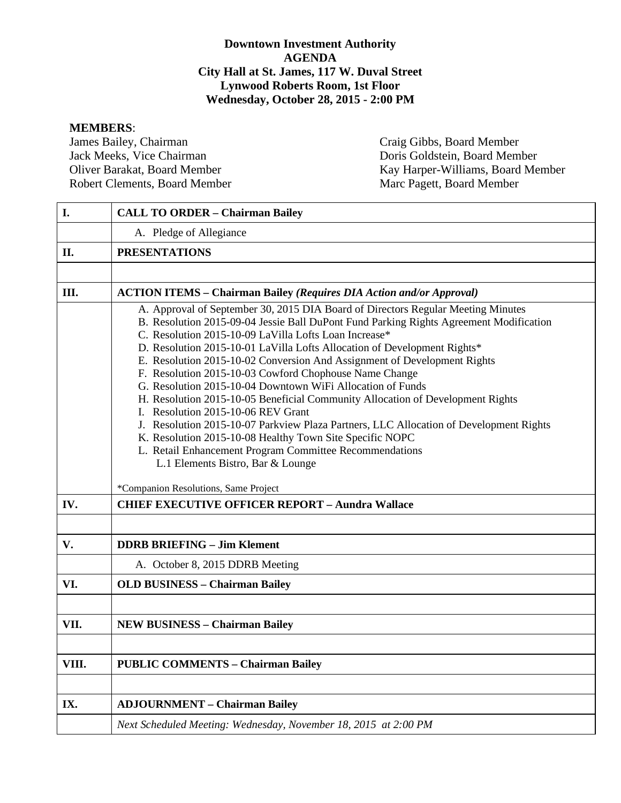#### **Downtown Investment Authority AGENDA City Hall at St. James, 117 W. Duval Street Lynwood Roberts Room, 1st Floor Wednesday, October 28, 2015 - 2:00 PM**

**MEMBERS**: James Bailey, Chairman Craig Gibbs, Board Member<br>
Jack Meeks, Vice Chairman Doris Goldstein, Board Mem Robert Clements, Board Member

Doris Goldstein, Board Member Oliver Barakat, Board Member Kay Harper-Williams, Board Member Robert Clements, Board Member Marc Pagett, Board Member

| I.    | <b>CALL TO ORDER - Chairman Bailey</b>                                                                                                                                                                                                                                                                                                                                                                                                                                                                                                                                                                                                                                                                                                                                                                                                                                                                                                    |  |  |  |  |
|-------|-------------------------------------------------------------------------------------------------------------------------------------------------------------------------------------------------------------------------------------------------------------------------------------------------------------------------------------------------------------------------------------------------------------------------------------------------------------------------------------------------------------------------------------------------------------------------------------------------------------------------------------------------------------------------------------------------------------------------------------------------------------------------------------------------------------------------------------------------------------------------------------------------------------------------------------------|--|--|--|--|
|       |                                                                                                                                                                                                                                                                                                                                                                                                                                                                                                                                                                                                                                                                                                                                                                                                                                                                                                                                           |  |  |  |  |
|       | A. Pledge of Allegiance                                                                                                                                                                                                                                                                                                                                                                                                                                                                                                                                                                                                                                                                                                                                                                                                                                                                                                                   |  |  |  |  |
| II.   | <b>PRESENTATIONS</b>                                                                                                                                                                                                                                                                                                                                                                                                                                                                                                                                                                                                                                                                                                                                                                                                                                                                                                                      |  |  |  |  |
|       |                                                                                                                                                                                                                                                                                                                                                                                                                                                                                                                                                                                                                                                                                                                                                                                                                                                                                                                                           |  |  |  |  |
| Ш.    | <b>ACTION ITEMS - Chairman Bailey (Requires DIA Action and/or Approval)</b>                                                                                                                                                                                                                                                                                                                                                                                                                                                                                                                                                                                                                                                                                                                                                                                                                                                               |  |  |  |  |
|       | A. Approval of September 30, 2015 DIA Board of Directors Regular Meeting Minutes<br>B. Resolution 2015-09-04 Jessie Ball DuPont Fund Parking Rights Agreement Modification<br>C. Resolution 2015-10-09 LaVilla Lofts Loan Increase*<br>D. Resolution 2015-10-01 LaVilla Lofts Allocation of Development Rights*<br>E. Resolution 2015-10-02 Conversion And Assignment of Development Rights<br>F. Resolution 2015-10-03 Cowford Chophouse Name Change<br>G. Resolution 2015-10-04 Downtown WiFi Allocation of Funds<br>H. Resolution 2015-10-05 Beneficial Community Allocation of Development Rights<br>I. Resolution 2015-10-06 REV Grant<br>J. Resolution 2015-10-07 Parkview Plaza Partners, LLC Allocation of Development Rights<br>K. Resolution 2015-10-08 Healthy Town Site Specific NOPC<br>L. Retail Enhancement Program Committee Recommendations<br>L.1 Elements Bistro, Bar & Lounge<br>*Companion Resolutions, Same Project |  |  |  |  |
| IV.   | <b>CHIEF EXECUTIVE OFFICER REPORT - Aundra Wallace</b>                                                                                                                                                                                                                                                                                                                                                                                                                                                                                                                                                                                                                                                                                                                                                                                                                                                                                    |  |  |  |  |
|       |                                                                                                                                                                                                                                                                                                                                                                                                                                                                                                                                                                                                                                                                                                                                                                                                                                                                                                                                           |  |  |  |  |
| V.    | <b>DDRB BRIEFING - Jim Klement</b>                                                                                                                                                                                                                                                                                                                                                                                                                                                                                                                                                                                                                                                                                                                                                                                                                                                                                                        |  |  |  |  |
|       | A. October 8, 2015 DDRB Meeting                                                                                                                                                                                                                                                                                                                                                                                                                                                                                                                                                                                                                                                                                                                                                                                                                                                                                                           |  |  |  |  |
| VI.   | <b>OLD BUSINESS - Chairman Bailey</b>                                                                                                                                                                                                                                                                                                                                                                                                                                                                                                                                                                                                                                                                                                                                                                                                                                                                                                     |  |  |  |  |
|       |                                                                                                                                                                                                                                                                                                                                                                                                                                                                                                                                                                                                                                                                                                                                                                                                                                                                                                                                           |  |  |  |  |
| VII.  | <b>NEW BUSINESS - Chairman Bailey</b>                                                                                                                                                                                                                                                                                                                                                                                                                                                                                                                                                                                                                                                                                                                                                                                                                                                                                                     |  |  |  |  |
|       |                                                                                                                                                                                                                                                                                                                                                                                                                                                                                                                                                                                                                                                                                                                                                                                                                                                                                                                                           |  |  |  |  |
| VIII. | <b>PUBLIC COMMENTS - Chairman Bailey</b>                                                                                                                                                                                                                                                                                                                                                                                                                                                                                                                                                                                                                                                                                                                                                                                                                                                                                                  |  |  |  |  |
|       |                                                                                                                                                                                                                                                                                                                                                                                                                                                                                                                                                                                                                                                                                                                                                                                                                                                                                                                                           |  |  |  |  |
| IX.   | <b>ADJOURNMENT - Chairman Bailey</b>                                                                                                                                                                                                                                                                                                                                                                                                                                                                                                                                                                                                                                                                                                                                                                                                                                                                                                      |  |  |  |  |
|       | Next Scheduled Meeting: Wednesday, November 18, 2015 at 2:00 PM                                                                                                                                                                                                                                                                                                                                                                                                                                                                                                                                                                                                                                                                                                                                                                                                                                                                           |  |  |  |  |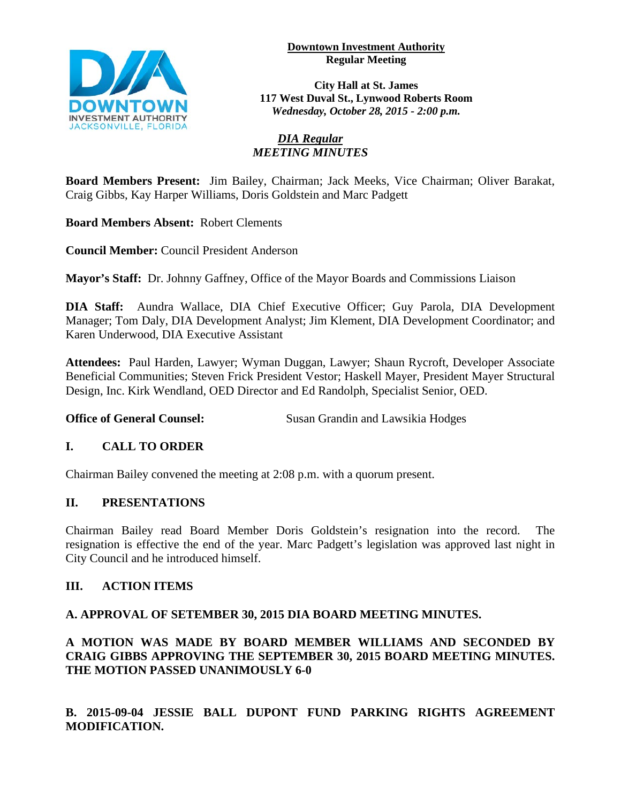**Downtown Investment Authority Regular Meeting** 



**City Hall at St. James 117 West Duval St., Lynwood Roberts Room** *Wednesday, October 28, 2015 - 2:00 p.m.*

#### *DIA Regular MEETING MINUTES*

**Board Members Present:** Jim Bailey, Chairman; Jack Meeks, Vice Chairman; Oliver Barakat, Craig Gibbs, Kay Harper Williams, Doris Goldstein and Marc Padgett

**Board Members Absent:** Robert Clements

**Council Member:** Council President Anderson

**Mayor's Staff:** Dr. Johnny Gaffney, Office of the Mayor Boards and Commissions Liaison

**DIA Staff:** Aundra Wallace, DIA Chief Executive Officer; Guy Parola, DIA Development Manager; Tom Daly, DIA Development Analyst; Jim Klement, DIA Development Coordinator; and Karen Underwood, DIA Executive Assistant

**Attendees:** Paul Harden, Lawyer; Wyman Duggan, Lawyer; Shaun Rycroft, Developer Associate Beneficial Communities; Steven Frick President Vestor; Haskell Mayer, President Mayer Structural Design, Inc. Kirk Wendland, OED Director and Ed Randolph, Specialist Senior, OED.

**Office of General Counsel:** Susan Grandin and Lawsikia Hodges

# **I. CALL TO ORDER**

Chairman Bailey convened the meeting at 2:08 p.m. with a quorum present.

### **II. PRESENTATIONS**

Chairman Bailey read Board Member Doris Goldstein's resignation into the record. The resignation is effective the end of the year. Marc Padgett's legislation was approved last night in City Council and he introduced himself.

#### **III. ACTION ITEMS**

#### **A. APPROVAL OF SETEMBER 30, 2015 DIA BOARD MEETING MINUTES.**

**A MOTION WAS MADE BY BOARD MEMBER WILLIAMS AND SECONDED BY CRAIG GIBBS APPROVING THE SEPTEMBER 30, 2015 BOARD MEETING MINUTES. THE MOTION PASSED UNANIMOUSLY 6-0** 

**B. 2015-09-04 JESSIE BALL DUPONT FUND PARKING RIGHTS AGREEMENT MODIFICATION.**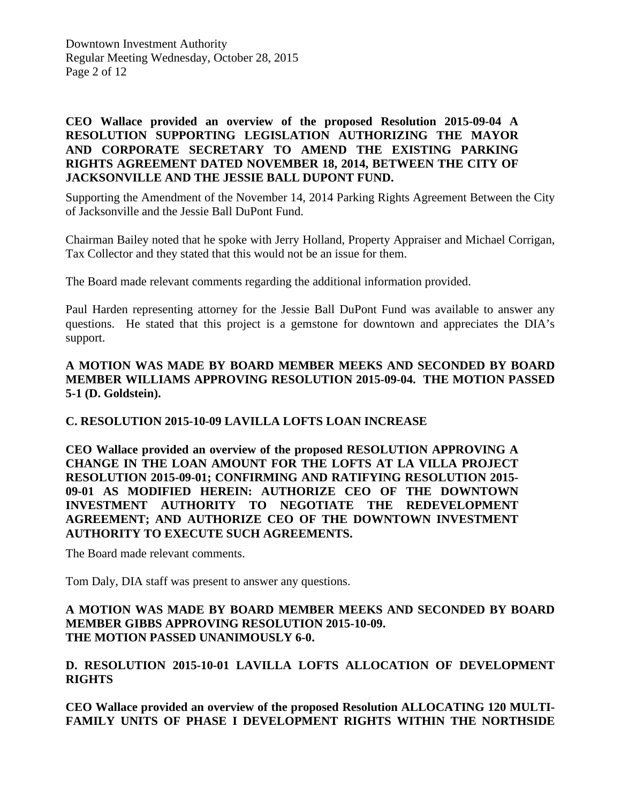Downtown Investment Authority Regular Meeting Wednesday, October 28, 2015 Page 2 of 12

#### **CEO Wallace provided an overview of the proposed Resolution 2015-09-04 A RESOLUTION SUPPORTING LEGISLATION AUTHORIZING THE MAYOR AND CORPORATE SECRETARY TO AMEND THE EXISTING PARKING RIGHTS AGREEMENT DATED NOVEMBER 18, 2014, BETWEEN THE CITY OF JACKSONVILLE AND THE JESSIE BALL DUPONT FUND.**

Supporting the Amendment of the November 14, 2014 Parking Rights Agreement Between the City of Jacksonville and the Jessie Ball DuPont Fund.

Chairman Bailey noted that he spoke with Jerry Holland, Property Appraiser and Michael Corrigan, Tax Collector and they stated that this would not be an issue for them.

The Board made relevant comments regarding the additional information provided.

Paul Harden representing attorney for the Jessie Ball DuPont Fund was available to answer any questions. He stated that this project is a gemstone for downtown and appreciates the DIA's support.

#### **A MOTION WAS MADE BY BOARD MEMBER MEEKS AND SECONDED BY BOARD MEMBER WILLIAMS APPROVING RESOLUTION 2015-09-04. THE MOTION PASSED 5-1 (D. Goldstein).**

#### **C. RESOLUTION 2015-10-09 LAVILLA LOFTS LOAN INCREASE**

**CEO Wallace provided an overview of the proposed RESOLUTION APPROVING A CHANGE IN THE LOAN AMOUNT FOR THE LOFTS AT LA VILLA PROJECT RESOLUTION 2015-09-01; CONFIRMING AND RATIFYING RESOLUTION 2015- 09-01 AS MODIFIED HEREIN: AUTHORIZE CEO OF THE DOWNTOWN INVESTMENT AUTHORITY TO NEGOTIATE THE REDEVELOPMENT AGREEMENT; AND AUTHORIZE CEO OF THE DOWNTOWN INVESTMENT AUTHORITY TO EXECUTE SUCH AGREEMENTS.** 

The Board made relevant comments.

Tom Daly, DIA staff was present to answer any questions.

#### **A MOTION WAS MADE BY BOARD MEMBER MEEKS AND SECONDED BY BOARD MEMBER GIBBS APPROVING RESOLUTION 2015-10-09. THE MOTION PASSED UNANIMOUSLY 6-0.**

#### **D. RESOLUTION 2015-10-01 LAVILLA LOFTS ALLOCATION OF DEVELOPMENT RIGHTS**

**CEO Wallace provided an overview of the proposed Resolution ALLOCATING 120 MULTI-FAMILY UNITS OF PHASE I DEVELOPMENT RIGHTS WITHIN THE NORTHSIDE**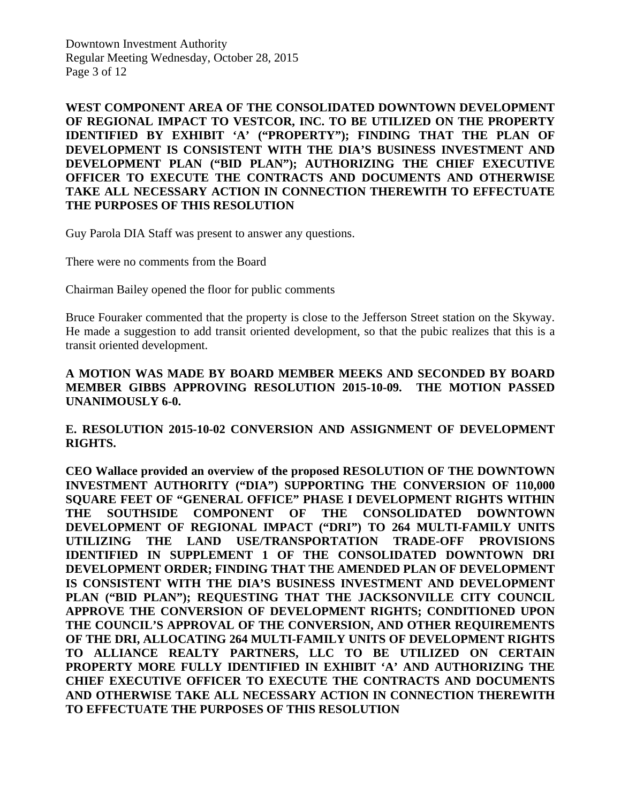Downtown Investment Authority Regular Meeting Wednesday, October 28, 2015 Page 3 of 12

**WEST COMPONENT AREA OF THE CONSOLIDATED DOWNTOWN DEVELOPMENT OF REGIONAL IMPACT TO VESTCOR, INC. TO BE UTILIZED ON THE PROPERTY IDENTIFIED BY EXHIBIT 'A' ("PROPERTY"); FINDING THAT THE PLAN OF DEVELOPMENT IS CONSISTENT WITH THE DIA'S BUSINESS INVESTMENT AND DEVELOPMENT PLAN ("BID PLAN"); AUTHORIZING THE CHIEF EXECUTIVE OFFICER TO EXECUTE THE CONTRACTS AND DOCUMENTS AND OTHERWISE TAKE ALL NECESSARY ACTION IN CONNECTION THEREWITH TO EFFECTUATE THE PURPOSES OF THIS RESOLUTION**

Guy Parola DIA Staff was present to answer any questions.

There were no comments from the Board

Chairman Bailey opened the floor for public comments

Bruce Fouraker commented that the property is close to the Jefferson Street station on the Skyway. He made a suggestion to add transit oriented development, so that the pubic realizes that this is a transit oriented development.

#### **A MOTION WAS MADE BY BOARD MEMBER MEEKS AND SECONDED BY BOARD MEMBER GIBBS APPROVING RESOLUTION 2015-10-09. THE MOTION PASSED UNANIMOUSLY 6-0.**

#### **E. RESOLUTION 2015-10-02 CONVERSION AND ASSIGNMENT OF DEVELOPMENT RIGHTS.**

**CEO Wallace provided an overview of the proposed RESOLUTION OF THE DOWNTOWN INVESTMENT AUTHORITY ("DIA") SUPPORTING THE CONVERSION OF 110,000 SQUARE FEET OF "GENERAL OFFICE" PHASE I DEVELOPMENT RIGHTS WITHIN THE SOUTHSIDE COMPONENT OF THE CONSOLIDATED DOWNTOWN DEVELOPMENT OF REGIONAL IMPACT ("DRI") TO 264 MULTI-FAMILY UNITS UTILIZING THE LAND USE/TRANSPORTATION TRADE-OFF PROVISIONS IDENTIFIED IN SUPPLEMENT 1 OF THE CONSOLIDATED DOWNTOWN DRI DEVELOPMENT ORDER; FINDING THAT THE AMENDED PLAN OF DEVELOPMENT IS CONSISTENT WITH THE DIA'S BUSINESS INVESTMENT AND DEVELOPMENT PLAN ("BID PLAN"); REQUESTING THAT THE JACKSONVILLE CITY COUNCIL APPROVE THE CONVERSION OF DEVELOPMENT RIGHTS; CONDITIONED UPON THE COUNCIL'S APPROVAL OF THE CONVERSION, AND OTHER REQUIREMENTS OF THE DRI, ALLOCATING 264 MULTI-FAMILY UNITS OF DEVELOPMENT RIGHTS TO ALLIANCE REALTY PARTNERS, LLC TO BE UTILIZED ON CERTAIN PROPERTY MORE FULLY IDENTIFIED IN EXHIBIT 'A' AND AUTHORIZING THE CHIEF EXECUTIVE OFFICER TO EXECUTE THE CONTRACTS AND DOCUMENTS AND OTHERWISE TAKE ALL NECESSARY ACTION IN CONNECTION THEREWITH TO EFFECTUATE THE PURPOSES OF THIS RESOLUTION**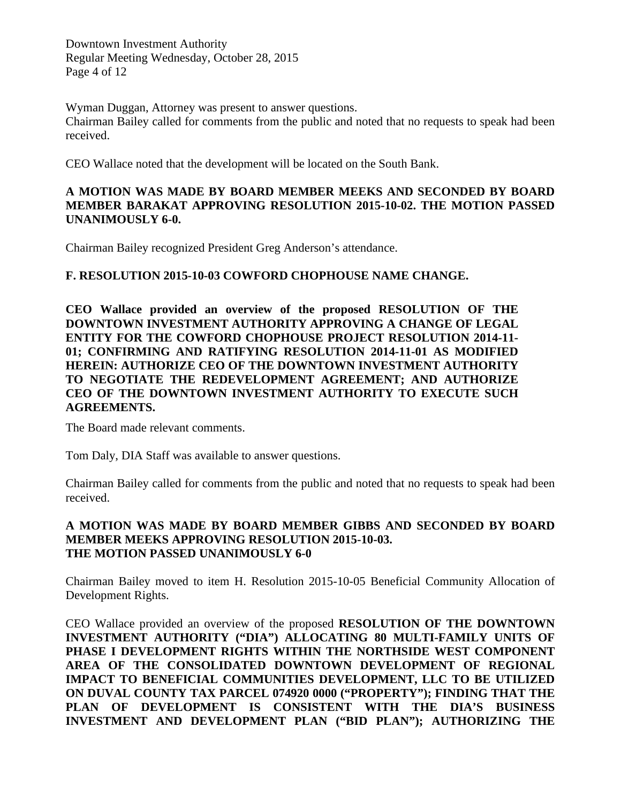Downtown Investment Authority Regular Meeting Wednesday, October 28, 2015 Page 4 of 12

Wyman Duggan, Attorney was present to answer questions. Chairman Bailey called for comments from the public and noted that no requests to speak had been received.

CEO Wallace noted that the development will be located on the South Bank.

#### **A MOTION WAS MADE BY BOARD MEMBER MEEKS AND SECONDED BY BOARD MEMBER BARAKAT APPROVING RESOLUTION 2015-10-02. THE MOTION PASSED UNANIMOUSLY 6-0.**

Chairman Bailey recognized President Greg Anderson's attendance.

# **F. RESOLUTION 2015-10-03 COWFORD CHOPHOUSE NAME CHANGE.**

**CEO Wallace provided an overview of the proposed RESOLUTION OF THE DOWNTOWN INVESTMENT AUTHORITY APPROVING A CHANGE OF LEGAL ENTITY FOR THE COWFORD CHOPHOUSE PROJECT RESOLUTION 2014-11- 01; CONFIRMING AND RATIFYING RESOLUTION 2014-11-01 AS MODIFIED HEREIN: AUTHORIZE CEO OF THE DOWNTOWN INVESTMENT AUTHORITY TO NEGOTIATE THE REDEVELOPMENT AGREEMENT; AND AUTHORIZE CEO OF THE DOWNTOWN INVESTMENT AUTHORITY TO EXECUTE SUCH AGREEMENTS.** 

The Board made relevant comments.

Tom Daly, DIA Staff was available to answer questions.

Chairman Bailey called for comments from the public and noted that no requests to speak had been received.

#### **A MOTION WAS MADE BY BOARD MEMBER GIBBS AND SECONDED BY BOARD MEMBER MEEKS APPROVING RESOLUTION 2015-10-03. THE MOTION PASSED UNANIMOUSLY 6-0**

Chairman Bailey moved to item H. Resolution 2015-10-05 Beneficial Community Allocation of Development Rights.

CEO Wallace provided an overview of the proposed **RESOLUTION OF THE DOWNTOWN INVESTMENT AUTHORITY ("DIA") ALLOCATING 80 MULTI-FAMILY UNITS OF PHASE I DEVELOPMENT RIGHTS WITHIN THE NORTHSIDE WEST COMPONENT AREA OF THE CONSOLIDATED DOWNTOWN DEVELOPMENT OF REGIONAL IMPACT TO BENEFICIAL COMMUNITIES DEVELOPMENT, LLC TO BE UTILIZED ON DUVAL COUNTY TAX PARCEL 074920 0000 ("PROPERTY"); FINDING THAT THE PLAN OF DEVELOPMENT IS CONSISTENT WITH THE DIA'S BUSINESS INVESTMENT AND DEVELOPMENT PLAN ("BID PLAN"); AUTHORIZING THE**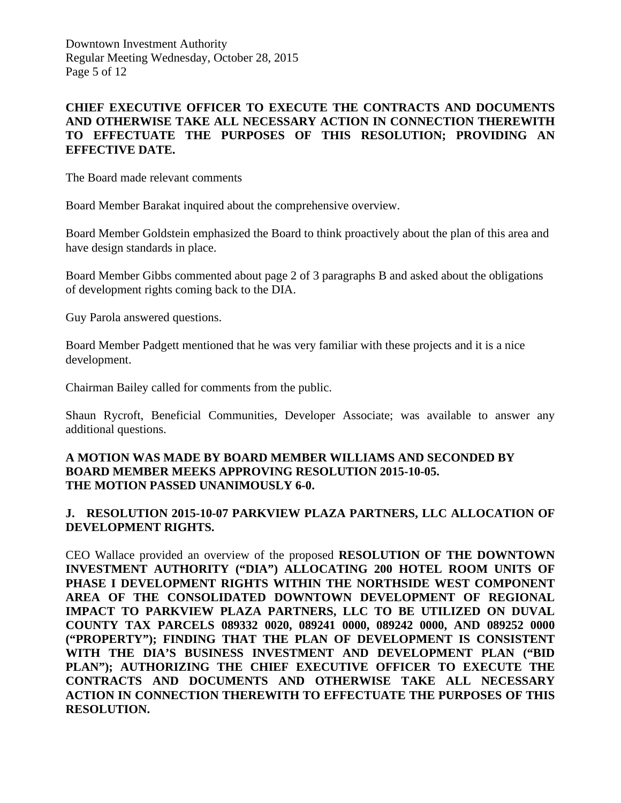Downtown Investment Authority Regular Meeting Wednesday, October 28, 2015 Page 5 of 12

#### **CHIEF EXECUTIVE OFFICER TO EXECUTE THE CONTRACTS AND DOCUMENTS AND OTHERWISE TAKE ALL NECESSARY ACTION IN CONNECTION THEREWITH TO EFFECTUATE THE PURPOSES OF THIS RESOLUTION; PROVIDING AN EFFECTIVE DATE.**

The Board made relevant comments

Board Member Barakat inquired about the comprehensive overview.

Board Member Goldstein emphasized the Board to think proactively about the plan of this area and have design standards in place.

Board Member Gibbs commented about page 2 of 3 paragraphs B and asked about the obligations of development rights coming back to the DIA.

Guy Parola answered questions.

Board Member Padgett mentioned that he was very familiar with these projects and it is a nice development.

Chairman Bailey called for comments from the public.

Shaun Rycroft, Beneficial Communities, Developer Associate; was available to answer any additional questions.

#### **A MOTION WAS MADE BY BOARD MEMBER WILLIAMS AND SECONDED BY BOARD MEMBER MEEKS APPROVING RESOLUTION 2015-10-05. THE MOTION PASSED UNANIMOUSLY 6-0.**

#### **J. RESOLUTION 2015-10-07 PARKVIEW PLAZA PARTNERS, LLC ALLOCATION OF DEVELOPMENT RIGHTS.**

CEO Wallace provided an overview of the proposed **RESOLUTION OF THE DOWNTOWN INVESTMENT AUTHORITY ("DIA") ALLOCATING 200 HOTEL ROOM UNITS OF PHASE I DEVELOPMENT RIGHTS WITHIN THE NORTHSIDE WEST COMPONENT AREA OF THE CONSOLIDATED DOWNTOWN DEVELOPMENT OF REGIONAL IMPACT TO PARKVIEW PLAZA PARTNERS, LLC TO BE UTILIZED ON DUVAL COUNTY TAX PARCELS 089332 0020, 089241 0000, 089242 0000, AND 089252 0000 ("PROPERTY"); FINDING THAT THE PLAN OF DEVELOPMENT IS CONSISTENT WITH THE DIA'S BUSINESS INVESTMENT AND DEVELOPMENT PLAN ("BID PLAN"); AUTHORIZING THE CHIEF EXECUTIVE OFFICER TO EXECUTE THE CONTRACTS AND DOCUMENTS AND OTHERWISE TAKE ALL NECESSARY ACTION IN CONNECTION THEREWITH TO EFFECTUATE THE PURPOSES OF THIS RESOLUTION.**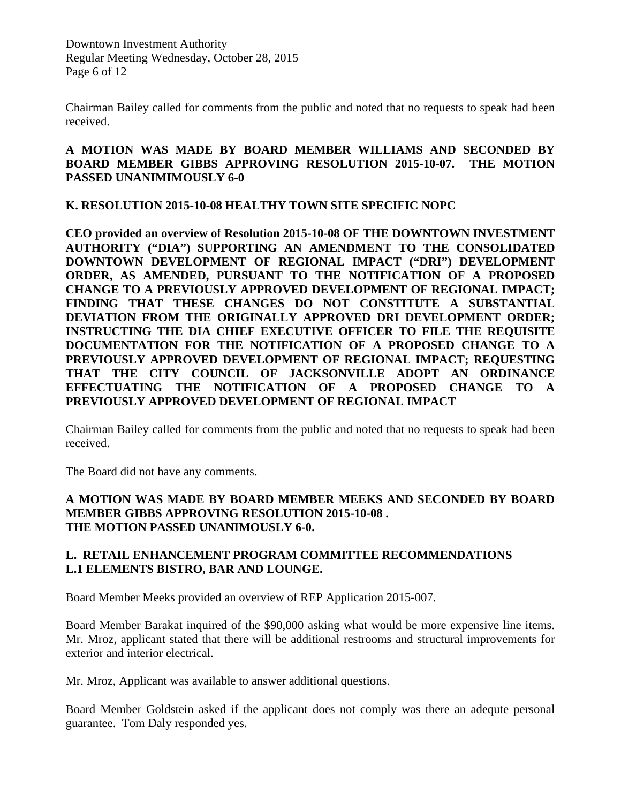Downtown Investment Authority Regular Meeting Wednesday, October 28, 2015 Page 6 of 12

Chairman Bailey called for comments from the public and noted that no requests to speak had been received.

### **A MOTION WAS MADE BY BOARD MEMBER WILLIAMS AND SECONDED BY BOARD MEMBER GIBBS APPROVING RESOLUTION 2015-10-07. THE MOTION PASSED UNANIMIMOUSLY 6-0**

**K. RESOLUTION 2015-10-08 HEALTHY TOWN SITE SPECIFIC NOPC**

**CEO provided an overview of Resolution 2015-10-08 OF THE DOWNTOWN INVESTMENT AUTHORITY ("DIA") SUPPORTING AN AMENDMENT TO THE CONSOLIDATED DOWNTOWN DEVELOPMENT OF REGIONAL IMPACT ("DRI") DEVELOPMENT ORDER, AS AMENDED, PURSUANT TO THE NOTIFICATION OF A PROPOSED CHANGE TO A PREVIOUSLY APPROVED DEVELOPMENT OF REGIONAL IMPACT; FINDING THAT THESE CHANGES DO NOT CONSTITUTE A SUBSTANTIAL DEVIATION FROM THE ORIGINALLY APPROVED DRI DEVELOPMENT ORDER; INSTRUCTING THE DIA CHIEF EXECUTIVE OFFICER TO FILE THE REQUISITE DOCUMENTATION FOR THE NOTIFICATION OF A PROPOSED CHANGE TO A PREVIOUSLY APPROVED DEVELOPMENT OF REGIONAL IMPACT; REQUESTING THAT THE CITY COUNCIL OF JACKSONVILLE ADOPT AN ORDINANCE EFFECTUATING THE NOTIFICATION OF A PROPOSED CHANGE TO A PREVIOUSLY APPROVED DEVELOPMENT OF REGIONAL IMPACT**

Chairman Bailey called for comments from the public and noted that no requests to speak had been received.

The Board did not have any comments.

#### **A MOTION WAS MADE BY BOARD MEMBER MEEKS AND SECONDED BY BOARD MEMBER GIBBS APPROVING RESOLUTION 2015-10-08 . THE MOTION PASSED UNANIMOUSLY 6-0.**

#### **L. RETAIL ENHANCEMENT PROGRAM COMMITTEE RECOMMENDATIONS L.1 ELEMENTS BISTRO, BAR AND LOUNGE.**

Board Member Meeks provided an overview of REP Application 2015-007.

Board Member Barakat inquired of the \$90,000 asking what would be more expensive line items. Mr. Mroz, applicant stated that there will be additional restrooms and structural improvements for exterior and interior electrical.

Mr. Mroz, Applicant was available to answer additional questions.

Board Member Goldstein asked if the applicant does not comply was there an adequte personal guarantee. Tom Daly responded yes.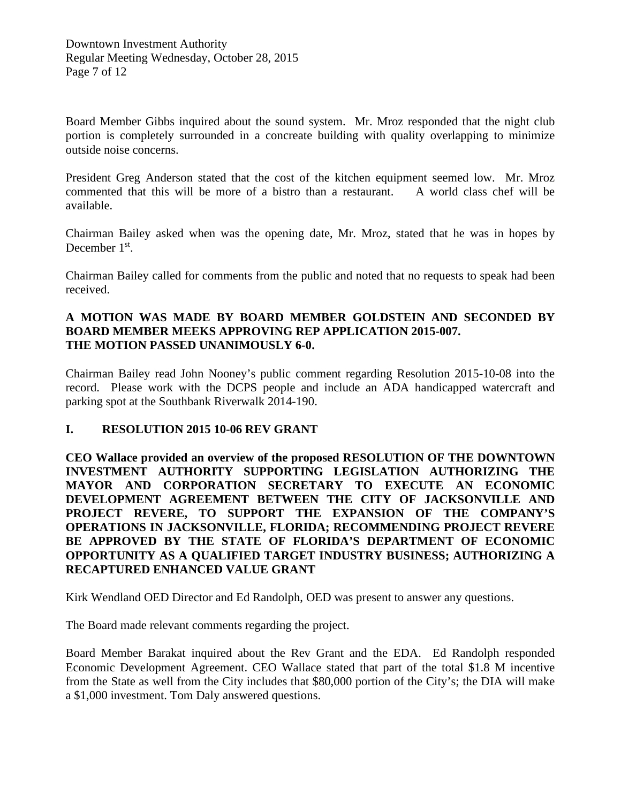Board Member Gibbs inquired about the sound system. Mr. Mroz responded that the night club portion is completely surrounded in a concreate building with quality overlapping to minimize outside noise concerns.

President Greg Anderson stated that the cost of the kitchen equipment seemed low. Mr. Mroz commented that this will be more of a bistro than a restaurant. A world class chef will be available.

Chairman Bailey asked when was the opening date, Mr. Mroz, stated that he was in hopes by December 1<sup>st</sup>.

Chairman Bailey called for comments from the public and noted that no requests to speak had been received.

#### **A MOTION WAS MADE BY BOARD MEMBER GOLDSTEIN AND SECONDED BY BOARD MEMBER MEEKS APPROVING REP APPLICATION 2015-007. THE MOTION PASSED UNANIMOUSLY 6-0.**

Chairman Bailey read John Nooney's public comment regarding Resolution 2015-10-08 into the record. Please work with the DCPS people and include an ADA handicapped watercraft and parking spot at the Southbank Riverwalk 2014-190.

#### **I. RESOLUTION 2015 10-06 REV GRANT**

**CEO Wallace provided an overview of the proposed RESOLUTION OF THE DOWNTOWN INVESTMENT AUTHORITY SUPPORTING LEGISLATION AUTHORIZING THE MAYOR AND CORPORATION SECRETARY TO EXECUTE AN ECONOMIC DEVELOPMENT AGREEMENT BETWEEN THE CITY OF JACKSONVILLE AND PROJECT REVERE, TO SUPPORT THE EXPANSION OF THE COMPANY'S OPERATIONS IN JACKSONVILLE, FLORIDA; RECOMMENDING PROJECT REVERE BE APPROVED BY THE STATE OF FLORIDA'S DEPARTMENT OF ECONOMIC OPPORTUNITY AS A QUALIFIED TARGET INDUSTRY BUSINESS; AUTHORIZING A RECAPTURED ENHANCED VALUE GRANT**

Kirk Wendland OED Director and Ed Randolph, OED was present to answer any questions.

The Board made relevant comments regarding the project.

Board Member Barakat inquired about the Rev Grant and the EDA. Ed Randolph responded Economic Development Agreement. CEO Wallace stated that part of the total \$1.8 M incentive from the State as well from the City includes that \$80,000 portion of the City's; the DIA will make a \$1,000 investment. Tom Daly answered questions.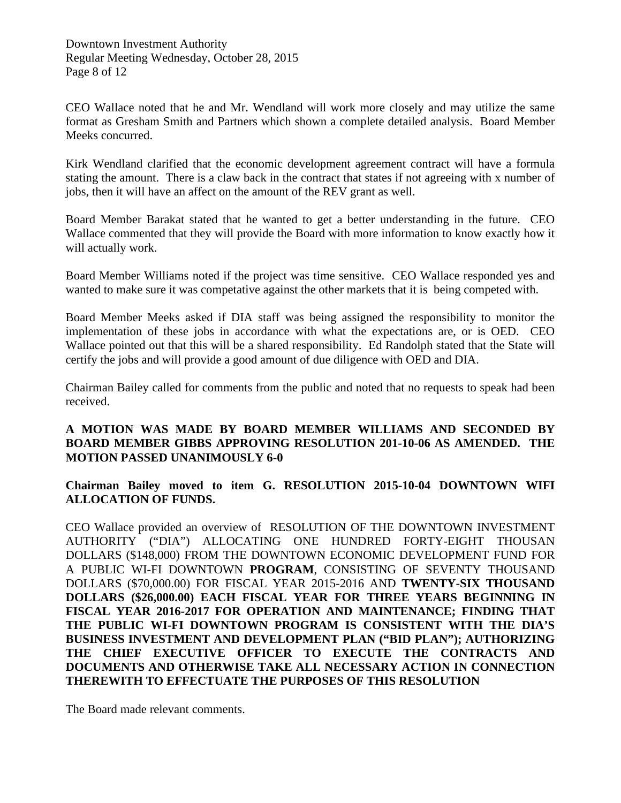CEO Wallace noted that he and Mr. Wendland will work more closely and may utilize the same format as Gresham Smith and Partners which shown a complete detailed analysis. Board Member Meeks concurred.

Kirk Wendland clarified that the economic development agreement contract will have a formula stating the amount. There is a claw back in the contract that states if not agreeing with x number of jobs, then it will have an affect on the amount of the REV grant as well.

Board Member Barakat stated that he wanted to get a better understanding in the future. CEO Wallace commented that they will provide the Board with more information to know exactly how it will actually work.

Board Member Williams noted if the project was time sensitive. CEO Wallace responded yes and wanted to make sure it was competative against the other markets that it is being competed with.

Board Member Meeks asked if DIA staff was being assigned the responsibility to monitor the implementation of these jobs in accordance with what the expectations are, or is OED. CEO Wallace pointed out that this will be a shared responsibility. Ed Randolph stated that the State will certify the jobs and will provide a good amount of due diligence with OED and DIA.

Chairman Bailey called for comments from the public and noted that no requests to speak had been received.

# **A MOTION WAS MADE BY BOARD MEMBER WILLIAMS AND SECONDED BY BOARD MEMBER GIBBS APPROVING RESOLUTION 201-10-06 AS AMENDED. THE MOTION PASSED UNANIMOUSLY 6-0**

**Chairman Bailey moved to item G. RESOLUTION 2015-10-04 DOWNTOWN WIFI ALLOCATION OF FUNDS.** 

CEO Wallace provided an overview of RESOLUTION OF THE DOWNTOWN INVESTMENT AUTHORITY ("DIA") ALLOCATING ONE HUNDRED FORTY-EIGHT THOUSAN DOLLARS (\$148,000) FROM THE DOWNTOWN ECONOMIC DEVELOPMENT FUND FOR A PUBLIC WI-FI DOWNTOWN **PROGRAM**, CONSISTING OF SEVENTY THOUSAND DOLLARS (\$70,000.00) FOR FISCAL YEAR 2015-2016 AND **TWENTY-SIX THOUSAND DOLLARS (\$26,000.00) EACH FISCAL YEAR FOR THREE YEARS BEGINNING IN FISCAL YEAR 2016-2017 FOR OPERATION AND MAINTENANCE; FINDING THAT THE PUBLIC WI-FI DOWNTOWN PROGRAM IS CONSISTENT WITH THE DIA'S BUSINESS INVESTMENT AND DEVELOPMENT PLAN ("BID PLAN"); AUTHORIZING THE CHIEF EXECUTIVE OFFICER TO EXECUTE THE CONTRACTS AND DOCUMENTS AND OTHERWISE TAKE ALL NECESSARY ACTION IN CONNECTION THEREWITH TO EFFECTUATE THE PURPOSES OF THIS RESOLUTION**

The Board made relevant comments.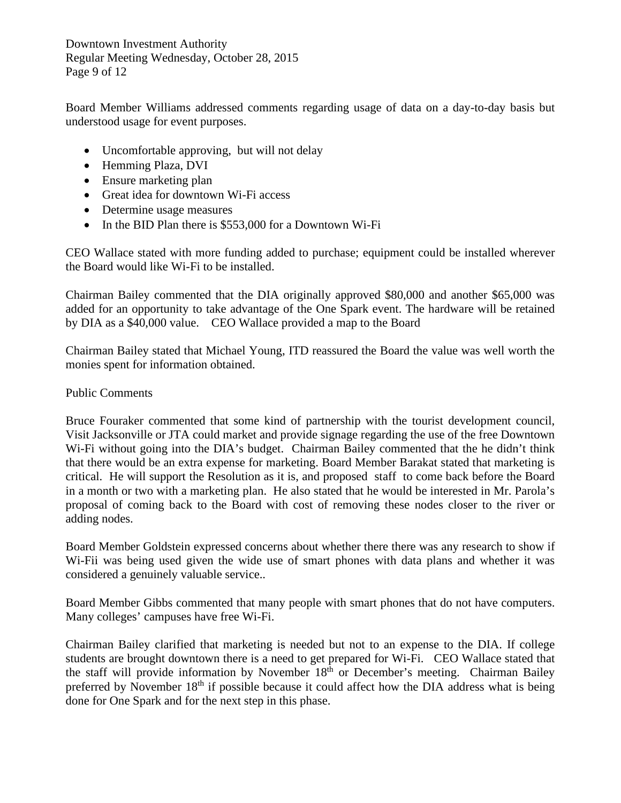Downtown Investment Authority Regular Meeting Wednesday, October 28, 2015 Page 9 of 12

Board Member Williams addressed comments regarding usage of data on a day-to-day basis but understood usage for event purposes.

- Uncomfortable approving, but will not delay
- Hemming Plaza, DVI
- Ensure marketing plan
- Great idea for downtown Wi-Fi access
- Determine usage measures
- In the BID Plan there is \$553,000 for a Downtown Wi-Fi

CEO Wallace stated with more funding added to purchase; equipment could be installed wherever the Board would like Wi-Fi to be installed.

Chairman Bailey commented that the DIA originally approved \$80,000 and another \$65,000 was added for an opportunity to take advantage of the One Spark event. The hardware will be retained by DIA as a \$40,000 value. CEO Wallace provided a map to the Board

Chairman Bailey stated that Michael Young, ITD reassured the Board the value was well worth the monies spent for information obtained.

#### Public Comments

Bruce Fouraker commented that some kind of partnership with the tourist development council, Visit Jacksonville or JTA could market and provide signage regarding the use of the free Downtown Wi-Fi without going into the DIA's budget. Chairman Bailey commented that the he didn't think that there would be an extra expense for marketing. Board Member Barakat stated that marketing is critical. He will support the Resolution as it is, and proposed staff to come back before the Board in a month or two with a marketing plan. He also stated that he would be interested in Mr. Parola's proposal of coming back to the Board with cost of removing these nodes closer to the river or adding nodes.

Board Member Goldstein expressed concerns about whether there there was any research to show if Wi-Fii was being used given the wide use of smart phones with data plans and whether it was considered a genuinely valuable service..

Board Member Gibbs commented that many people with smart phones that do not have computers. Many colleges' campuses have free Wi-Fi.

Chairman Bailey clarified that marketing is needed but not to an expense to the DIA. If college students are brought downtown there is a need to get prepared for Wi-Fi. CEO Wallace stated that the staff will provide information by November  $18<sup>th</sup>$  or December's meeting. Chairman Bailey preferred by November  $18<sup>th</sup>$  if possible because it could affect how the DIA address what is being done for One Spark and for the next step in this phase.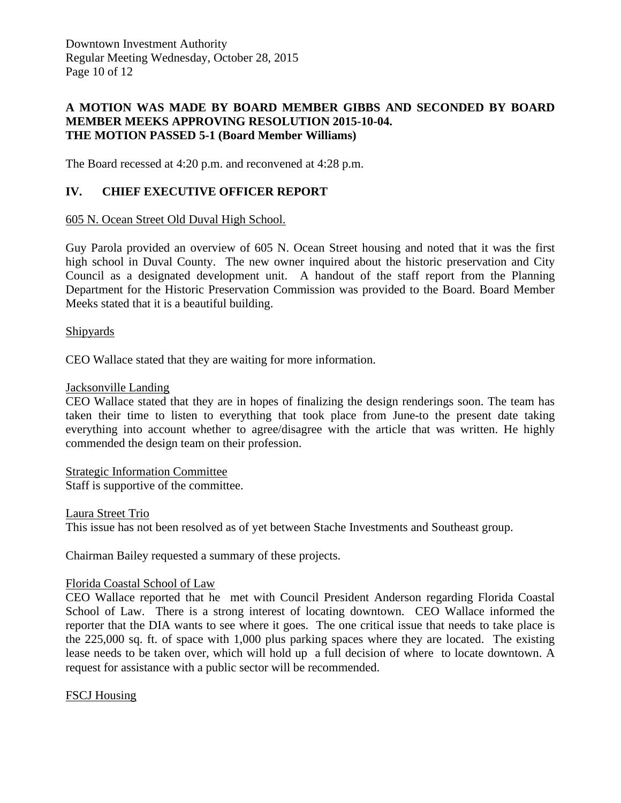Downtown Investment Authority Regular Meeting Wednesday, October 28, 2015 Page 10 of 12

#### **A MOTION WAS MADE BY BOARD MEMBER GIBBS AND SECONDED BY BOARD MEMBER MEEKS APPROVING RESOLUTION 2015-10-04. THE MOTION PASSED 5-1 (Board Member Williams)**

The Board recessed at 4:20 p.m. and reconvened at 4:28 p.m.

#### **IV. CHIEF EXECUTIVE OFFICER REPORT**

#### 605 N. Ocean Street Old Duval High School.

Guy Parola provided an overview of 605 N. Ocean Street housing and noted that it was the first high school in Duval County. The new owner inquired about the historic preservation and City Council as a designated development unit. A handout of the staff report from the Planning Department for the Historic Preservation Commission was provided to the Board. Board Member Meeks stated that it is a beautiful building.

#### Shipyards

CEO Wallace stated that they are waiting for more information.

#### Jacksonville Landing

CEO Wallace stated that they are in hopes of finalizing the design renderings soon. The team has taken their time to listen to everything that took place from June-to the present date taking everything into account whether to agree/disagree with the article that was written. He highly commended the design team on their profession.

#### Strategic Information Committee

Staff is supportive of the committee.

#### Laura Street Trio

This issue has not been resolved as of yet between Stache Investments and Southeast group.

Chairman Bailey requested a summary of these projects.

#### Florida Coastal School of Law

CEO Wallace reported that he met with Council President Anderson regarding Florida Coastal School of Law. There is a strong interest of locating downtown. CEO Wallace informed the reporter that the DIA wants to see where it goes. The one critical issue that needs to take place is the 225,000 sq. ft. of space with 1,000 plus parking spaces where they are located. The existing lease needs to be taken over, which will hold up a full decision of where to locate downtown. A request for assistance with a public sector will be recommended.

#### FSCJ Housing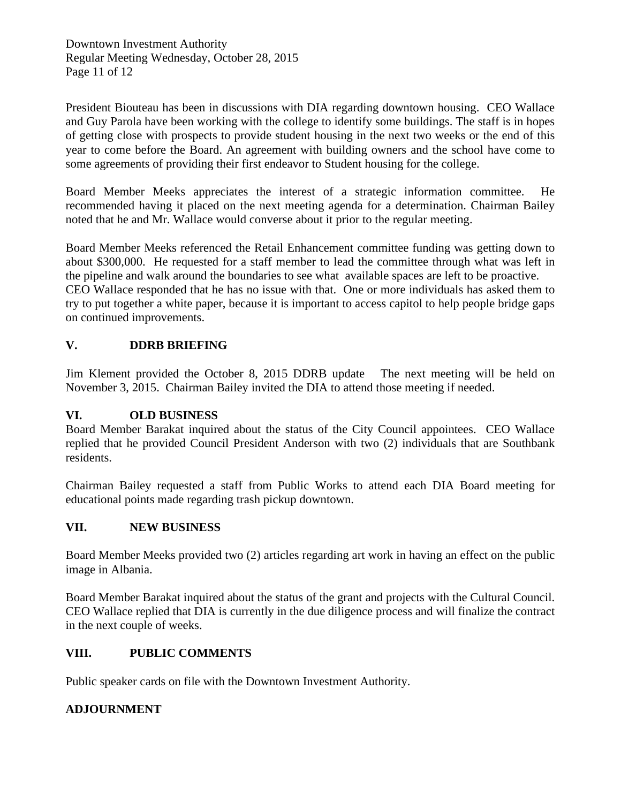Downtown Investment Authority Regular Meeting Wednesday, October 28, 2015 Page 11 of 12

President Biouteau has been in discussions with DIA regarding downtown housing. CEO Wallace and Guy Parola have been working with the college to identify some buildings. The staff is in hopes of getting close with prospects to provide student housing in the next two weeks or the end of this year to come before the Board. An agreement with building owners and the school have come to some agreements of providing their first endeavor to Student housing for the college.

Board Member Meeks appreciates the interest of a strategic information committee. He recommended having it placed on the next meeting agenda for a determination. Chairman Bailey noted that he and Mr. Wallace would converse about it prior to the regular meeting.

Board Member Meeks referenced the Retail Enhancement committee funding was getting down to about \$300,000. He requested for a staff member to lead the committee through what was left in the pipeline and walk around the boundaries to see what available spaces are left to be proactive. CEO Wallace responded that he has no issue with that. One or more individuals has asked them to try to put together a white paper, because it is important to access capitol to help people bridge gaps on continued improvements.

# **V. DDRB BRIEFING**

Jim Klement provided the October 8, 2015 DDRB update The next meeting will be held on November 3, 2015. Chairman Bailey invited the DIA to attend those meeting if needed.

#### **VI. OLD BUSINESS**

Board Member Barakat inquired about the status of the City Council appointees. CEO Wallace replied that he provided Council President Anderson with two (2) individuals that are Southbank residents.

Chairman Bailey requested a staff from Public Works to attend each DIA Board meeting for educational points made regarding trash pickup downtown.

#### **VII. NEW BUSINESS**

Board Member Meeks provided two (2) articles regarding art work in having an effect on the public image in Albania.

Board Member Barakat inquired about the status of the grant and projects with the Cultural Council. CEO Wallace replied that DIA is currently in the due diligence process and will finalize the contract in the next couple of weeks.

#### **VIII. PUBLIC COMMENTS**

Public speaker cards on file with the Downtown Investment Authority.

#### **ADJOURNMENT**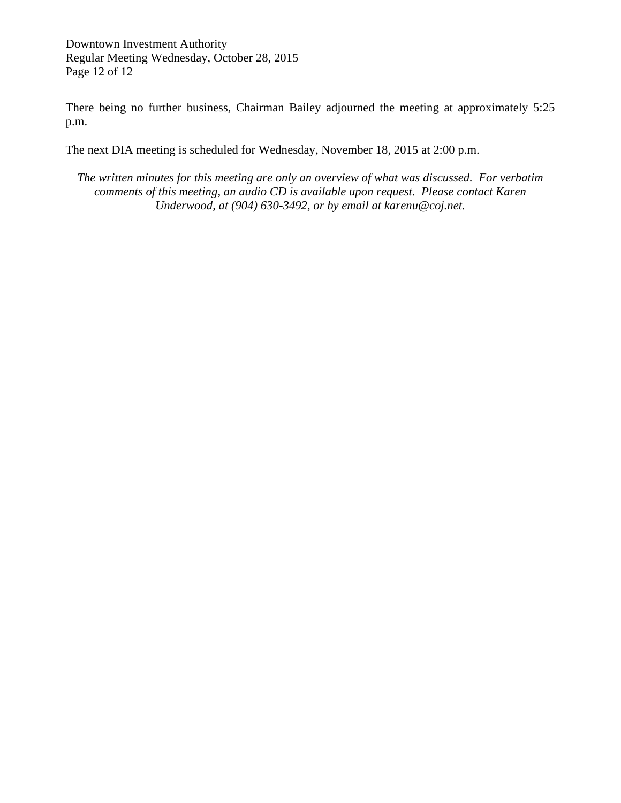Downtown Investment Authority Regular Meeting Wednesday, October 28, 2015 Page 12 of 12

There being no further business, Chairman Bailey adjourned the meeting at approximately 5:25 p.m.

The next DIA meeting is scheduled for Wednesday, November 18, 2015 at 2:00 p.m.

*The written minutes for this meeting are only an overview of what was discussed. For verbatim comments of this meeting, an audio CD is available upon request. Please contact Karen Underwood, at (904) 630-3492, or by email at karenu@coj.net.*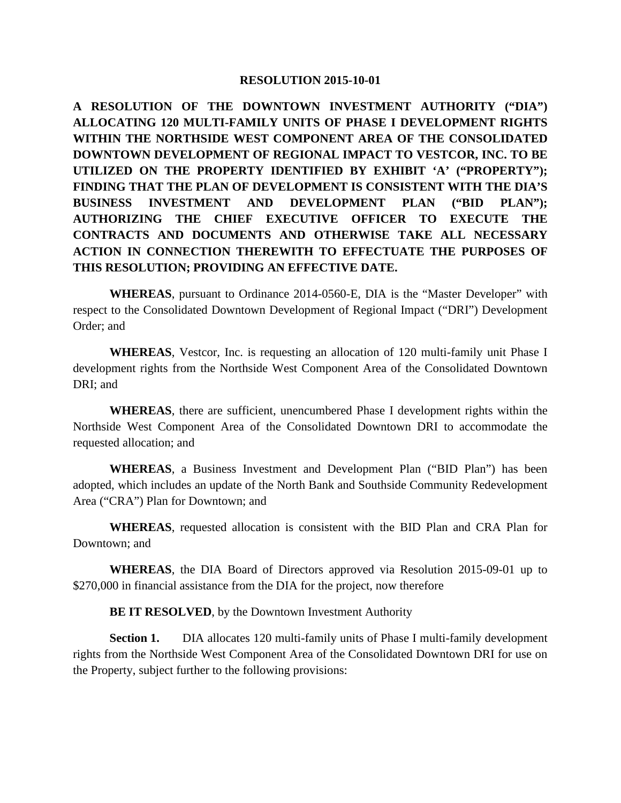**A RESOLUTION OF THE DOWNTOWN INVESTMENT AUTHORITY ("DIA") ALLOCATING 120 MULTI-FAMILY UNITS OF PHASE I DEVELOPMENT RIGHTS WITHIN THE NORTHSIDE WEST COMPONENT AREA OF THE CONSOLIDATED DOWNTOWN DEVELOPMENT OF REGIONAL IMPACT TO VESTCOR, INC. TO BE UTILIZED ON THE PROPERTY IDENTIFIED BY EXHIBIT 'A' ("PROPERTY"); FINDING THAT THE PLAN OF DEVELOPMENT IS CONSISTENT WITH THE DIA'S BUSINESS INVESTMENT AND DEVELOPMENT PLAN ("BID PLAN"); AUTHORIZING THE CHIEF EXECUTIVE OFFICER TO EXECUTE THE CONTRACTS AND DOCUMENTS AND OTHERWISE TAKE ALL NECESSARY ACTION IN CONNECTION THEREWITH TO EFFECTUATE THE PURPOSES OF THIS RESOLUTION; PROVIDING AN EFFECTIVE DATE.**

**WHEREAS**, pursuant to Ordinance 2014-0560-E, DIA is the "Master Developer" with respect to the Consolidated Downtown Development of Regional Impact ("DRI") Development Order; and

**WHEREAS**, Vestcor, Inc. is requesting an allocation of 120 multi-family unit Phase I development rights from the Northside West Component Area of the Consolidated Downtown DRI; and

**WHEREAS**, there are sufficient, unencumbered Phase I development rights within the Northside West Component Area of the Consolidated Downtown DRI to accommodate the requested allocation; and

**WHEREAS**, a Business Investment and Development Plan ("BID Plan") has been adopted, which includes an update of the North Bank and Southside Community Redevelopment Area ("CRA") Plan for Downtown; and

**WHEREAS**, requested allocation is consistent with the BID Plan and CRA Plan for Downtown; and

**WHEREAS**, the DIA Board of Directors approved via Resolution 2015-09-01 up to \$270,000 in financial assistance from the DIA for the project, now therefore

**BE IT RESOLVED**, by the Downtown Investment Authority

**Section 1.** DIA allocates 120 multi-family units of Phase I multi-family development rights from the Northside West Component Area of the Consolidated Downtown DRI for use on the Property, subject further to the following provisions: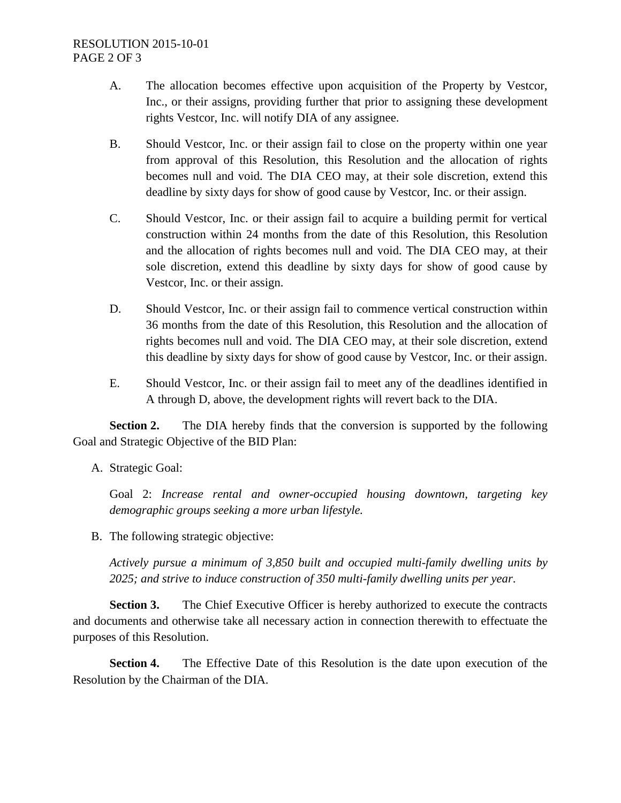#### RESOLUTION 2015-10-01 PAGE 2 OF 3

- A. The allocation becomes effective upon acquisition of the Property by Vestcor, Inc., or their assigns, providing further that prior to assigning these development rights Vestcor, Inc. will notify DIA of any assignee.
- B. Should Vestcor, Inc. or their assign fail to close on the property within one year from approval of this Resolution, this Resolution and the allocation of rights becomes null and void. The DIA CEO may, at their sole discretion, extend this deadline by sixty days for show of good cause by Vestcor, Inc. or their assign.
- C. Should Vestcor, Inc. or their assign fail to acquire a building permit for vertical construction within 24 months from the date of this Resolution, this Resolution and the allocation of rights becomes null and void. The DIA CEO may, at their sole discretion, extend this deadline by sixty days for show of good cause by Vestcor, Inc. or their assign.
- D. Should Vestcor, Inc. or their assign fail to commence vertical construction within 36 months from the date of this Resolution, this Resolution and the allocation of rights becomes null and void. The DIA CEO may, at their sole discretion, extend this deadline by sixty days for show of good cause by Vestcor, Inc. or their assign.
- E. Should Vestcor, Inc. or their assign fail to meet any of the deadlines identified in A through D, above, the development rights will revert back to the DIA.

**Section 2.** The DIA hereby finds that the conversion is supported by the following Goal and Strategic Objective of the BID Plan:

A. Strategic Goal:

Goal 2: *Increase rental and owner-occupied housing downtown, targeting key demographic groups seeking a more urban lifestyle.*

B. The following strategic objective:

*Actively pursue a minimum of 3,850 built and occupied multi-family dwelling units by 2025; and strive to induce construction of 350 multi-family dwelling units per year*.

**Section 3.** The Chief Executive Officer is hereby authorized to execute the contracts and documents and otherwise take all necessary action in connection therewith to effectuate the purposes of this Resolution.

**Section 4.** The Effective Date of this Resolution is the date upon execution of the Resolution by the Chairman of the DIA.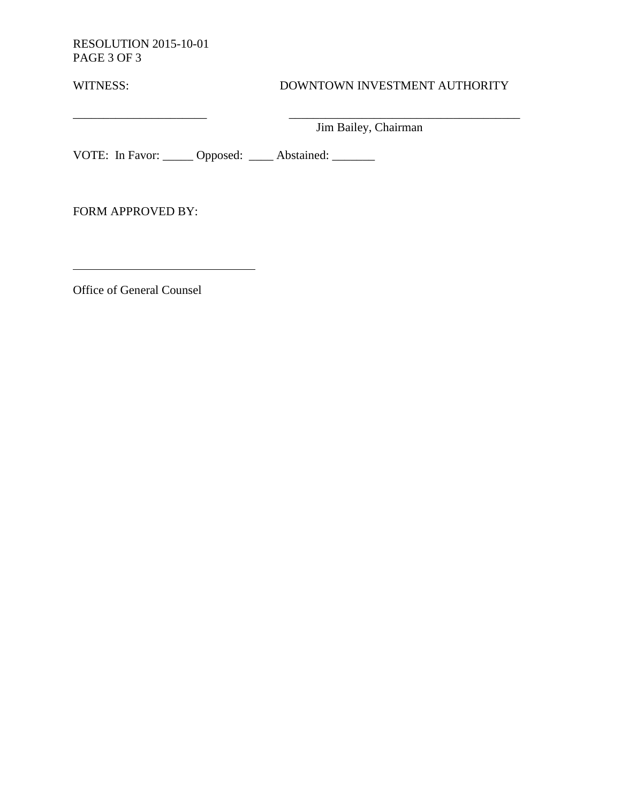RESOLUTION 2015-10-01 PAGE 3 OF 3

# WITNESS: DOWNTOWN INVESTMENT AUTHORITY

 $\overline{\phantom{a}}$  , and the contract of  $\overline{\phantom{a}}$  , and  $\overline{\phantom{a}}$  , and  $\overline{\phantom{a}}$  , and  $\overline{\phantom{a}}$  , and  $\overline{\phantom{a}}$ Jim Bailey, Chairman

VOTE: In Favor: \_\_\_\_\_ Opposed: \_\_\_\_ Abstained: \_\_\_\_\_\_

FORM APPROVED BY:

Office of General Counsel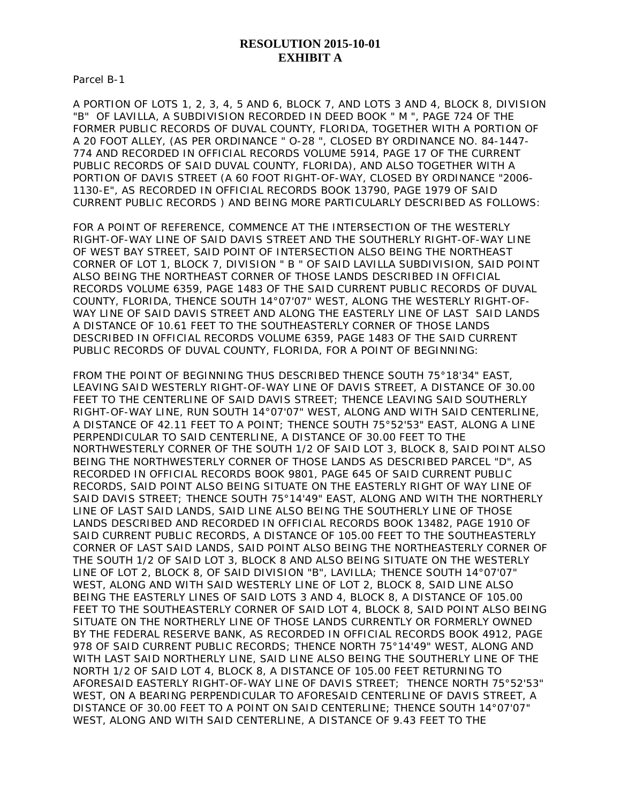#### **RESOLUTION 2015-10-01 EXHIBIT A**

Parcel B-1

A PORTION OF LOTS 1, 2, 3, 4, 5 AND 6, BLOCK 7, AND LOTS 3 AND 4, BLOCK 8, DIVISION "B" OF LAVILLA, A SUBDIVISION RECORDED IN DEED BOOK " M ", PAGE 724 OF THE FORMER PUBLIC RECORDS OF DUVAL COUNTY, FLORIDA, TOGETHER WITH A PORTION OF A 20 FOOT ALLEY, (AS PER ORDINANCE " O-28 ", CLOSED BY ORDINANCE NO. 84-1447- 774 AND RECORDED IN OFFICIAL RECORDS VOLUME 5914, PAGE 17 OF THE CURRENT PUBLIC RECORDS OF SAID DUVAL COUNTY, FLORIDA), AND ALSO TOGETHER WITH A PORTION OF DAVIS STREET (A 60 FOOT RIGHT-OF-WAY, CLOSED BY ORDINANCE "2006- 1130-E", AS RECORDED IN OFFICIAL RECORDS BOOK 13790, PAGE 1979 OF SAID CURRENT PUBLIC RECORDS ) AND BEING MORE PARTICULARLY DESCRIBED AS FOLLOWS:

FOR A POINT OF REFERENCE, COMMENCE AT THE INTERSECTION OF THE WESTERLY RIGHT-OF-WAY LINE OF SAID DAVIS STREET AND THE SOUTHERLY RIGHT-OF-WAY LINE OF WEST BAY STREET, SAID POINT OF INTERSECTION ALSO BEING THE NORTHEAST CORNER OF LOT 1, BLOCK 7, DIVISION " B " OF SAID LAVILLA SUBDIVISION, SAID POINT ALSO BEING THE NORTHEAST CORNER OF THOSE LANDS DESCRIBED IN OFFICIAL RECORDS VOLUME 6359, PAGE 1483 OF THE SAID CURRENT PUBLIC RECORDS OF DUVAL COUNTY, FLORIDA, THENCE SOUTH 14°07'07" WEST, ALONG THE WESTERLY RIGHT-OF-WAY LINE OF SAID DAVIS STREET AND ALONG THE EASTERLY LINE OF LAST SAID LANDS A DISTANCE OF 10.61 FEET TO THE SOUTHEASTERLY CORNER OF THOSE LANDS DESCRIBED IN OFFICIAL RECORDS VOLUME 6359, PAGE 1483 OF THE SAID CURRENT PUBLIC RECORDS OF DUVAL COUNTY, FLORIDA, FOR A POINT OF BEGINNING:

FROM THE POINT OF BEGINNING THUS DESCRIBED THENCE SOUTH 75°18'34" EAST, LEAVING SAID WESTERLY RIGHT-OF-WAY LINE OF DAVIS STREET, A DISTANCE OF 30.00 FEET TO THE CENTERLINE OF SAID DAVIS STREET; THENCE LEAVING SAID SOUTHERLY RIGHT-OF-WAY LINE, RUN SOUTH 14°07'07" WEST, ALONG AND WITH SAID CENTERLINE, A DISTANCE OF 42.11 FEET TO A POINT; THENCE SOUTH 75°52'53" EAST, ALONG A LINE PERPENDICULAR TO SAID CENTERLINE, A DISTANCE OF 30.00 FEET TO THE NORTHWESTERLY CORNER OF THE SOUTH 1/2 OF SAID LOT 3, BLOCK 8, SAID POINT ALSO BEING THE NORTHWESTERLY CORNER OF THOSE LANDS AS DESCRIBED PARCEL "D", AS RECORDED IN OFFICIAL RECORDS BOOK 9801, PAGE 645 OF SAID CURRENT PUBLIC RECORDS, SAID POINT ALSO BEING SITUATE ON THE EASTERLY RIGHT OF WAY LINE OF SAID DAVIS STREET; THENCE SOUTH 75°14'49" EAST, ALONG AND WITH THE NORTHERLY LINE OF LAST SAID LANDS, SAID LINE ALSO BEING THE SOUTHERLY LINE OF THOSE LANDS DESCRIBED AND RECORDED IN OFFICIAL RECORDS BOOK 13482, PAGE 1910 OF SAID CURRENT PUBLIC RECORDS, A DISTANCE OF 105.00 FEET TO THE SOUTHEASTERLY CORNER OF LAST SAID LANDS, SAID POINT ALSO BEING THE NORTHEASTERLY CORNER OF THE SOUTH 1/2 OF SAID LOT 3, BLOCK 8 AND ALSO BEING SITUATE ON THE WESTERLY LINE OF LOT 2, BLOCK 8, OF SAID DIVISION "B", LAVILLA; THENCE SOUTH 14°07'07" WEST, ALONG AND WITH SAID WESTERLY LINE OF LOT 2, BLOCK 8, SAID LINE ALSO BEING THE EASTERLY LINES OF SAID LOTS 3 AND 4, BLOCK 8, A DISTANCE OF 105.00 FEET TO THE SOUTHEASTERLY CORNER OF SAID LOT 4, BLOCK 8, SAID POINT ALSO BEING SITUATE ON THE NORTHERLY LINE OF THOSE LANDS CURRENTLY OR FORMERLY OWNED BY THE FEDERAL RESERVE BANK, AS RECORDED IN OFFICIAL RECORDS BOOK 4912, PAGE 978 OF SAID CURRENT PUBLIC RECORDS; THENCE NORTH 75°14'49" WEST, ALONG AND WITH LAST SAID NORTHERLY LINE, SAID LINE ALSO BEING THE SOUTHERLY LINE OF THE NORTH 1/2 OF SAID LOT 4, BLOCK 8, A DISTANCE OF 105.00 FEET RETURNING TO AFORESAID EASTERLY RIGHT-OF-WAY LINE OF DAVIS STREET; THENCE NORTH 75°52'53" WEST, ON A BEARING PERPENDICULAR TO AFORESAID CENTERLINE OF DAVIS STREET, A DISTANCE OF 30.00 FEET TO A POINT ON SAID CENTERLINE; THENCE SOUTH 14°07'07" WEST, ALONG AND WITH SAID CENTERLINE, A DISTANCE OF 9.43 FEET TO THE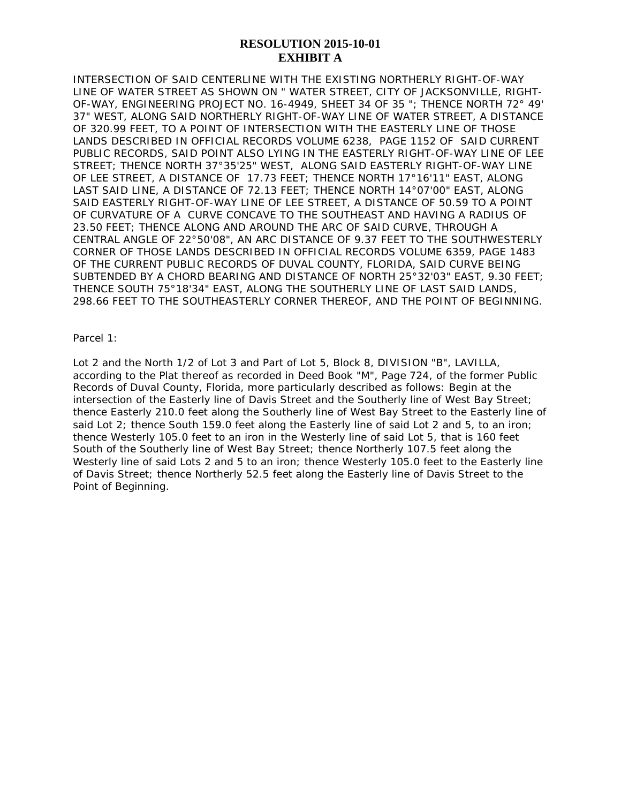#### **RESOLUTION 2015-10-01 EXHIBIT A**

INTERSECTION OF SAID CENTERLINE WITH THE EXISTING NORTHERLY RIGHT-OF-WAY LINE OF WATER STREET AS SHOWN ON " WATER STREET, CITY OF JACKSONVILLE, RIGHT-OF-WAY, ENGINEERING PROJECT NO. 16-4949, SHEET 34 OF 35 "; THENCE NORTH 72° 49' 37" WEST, ALONG SAID NORTHERLY RIGHT-OF-WAY LINE OF WATER STREET, A DISTANCE OF 320.99 FEET, TO A POINT OF INTERSECTION WITH THE EASTERLY LINE OF THOSE LANDS DESCRIBED IN OFFICIAL RECORDS VOLUME 6238, PAGE 1152 OF SAID CURRENT PUBLIC RECORDS, SAID POINT ALSO LYING IN THE EASTERLY RIGHT-OF-WAY LINE OF LEE STREET; THENCE NORTH 37°35'25" WEST, ALONG SAID EASTERLY RIGHT-OF-WAY LINE OF LEE STREET, A DISTANCE OF 17.73 FEET; THENCE NORTH 17°16'11" EAST, ALONG LAST SAID LINE, A DISTANCE OF 72.13 FEET; THENCE NORTH 14°07'00" EAST, ALONG SAID EASTERLY RIGHT-OF-WAY LINE OF LEE STREET, A DISTANCE OF 50.59 TO A POINT OF CURVATURE OF A CURVE CONCAVE TO THE SOUTHEAST AND HAVING A RADIUS OF 23.50 FEET; THENCE ALONG AND AROUND THE ARC OF SAID CURVE, THROUGH A CENTRAL ANGLE OF 22°50'08", AN ARC DISTANCE OF 9.37 FEET TO THE SOUTHWESTERLY CORNER OF THOSE LANDS DESCRIBED IN OFFICIAL RECORDS VOLUME 6359, PAGE 1483 OF THE CURRENT PUBLIC RECORDS OF DUVAL COUNTY, FLORIDA, SAID CURVE BEING SUBTENDED BY A CHORD BEARING AND DISTANCE OF NORTH 25°32'03" EAST, 9.30 FEET; THENCE SOUTH 75°18'34" EAST, ALONG THE SOUTHERLY LINE OF LAST SAID LANDS, 298.66 FEET TO THE SOUTHEASTERLY CORNER THEREOF, AND THE POINT OF BEGINNING.

Parcel 1:

Lot 2 and the North 1/2 of Lot 3 and Part of Lot 5, Block 8, DIVISION "B", LAVILLA, according to the Plat thereof as recorded in Deed Book "M", Page 724, of the former Public Records of Duval County, Florida, more particularly described as follows: Begin at the intersection of the Easterly line of Davis Street and the Southerly line of West Bay Street; thence Easterly 210.0 feet along the Southerly line of West Bay Street to the Easterly line of said Lot 2; thence South 159.0 feet along the Easterly line of said Lot 2 and 5, to an iron; thence Westerly 105.0 feet to an iron in the Westerly line of said Lot 5, that is 160 feet South of the Southerly line of West Bay Street; thence Northerly 107.5 feet along the Westerly line of said Lots 2 and 5 to an iron; thence Westerly 105.0 feet to the Easterly line of Davis Street; thence Northerly 52.5 feet along the Easterly line of Davis Street to the Point of Beginning.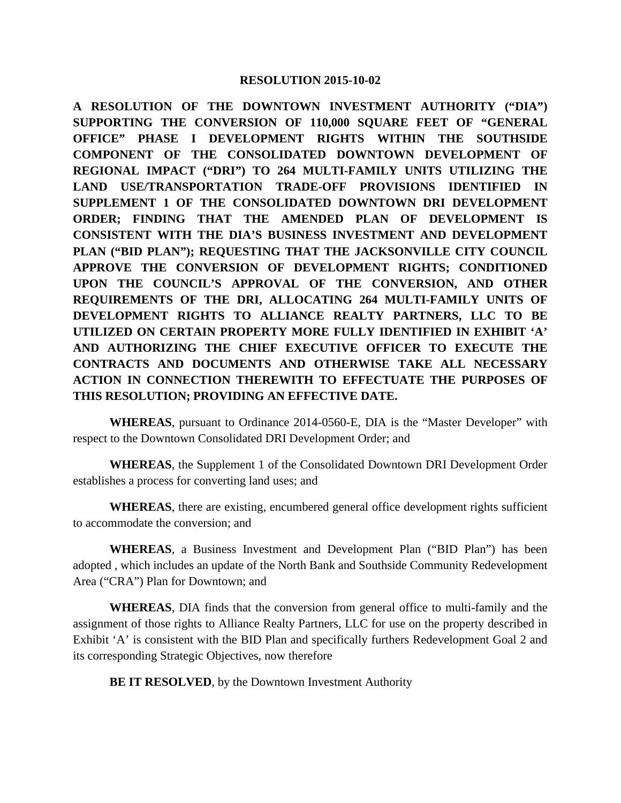**A RESOLUTION OF THE DOWNTOWN INVESTMENT AUTHORITY ("DIA") SUPPORTING THE CONVERSION OF 110,000 SQUARE FEET OF "GENERAL OFFICE" PHASE I DEVELOPMENT RIGHTS WITHIN THE SOUTHSIDE COMPONENT OF THE CONSOLIDATED DOWNTOWN DEVELOPMENT OF REGIONAL IMPACT ("DRI") TO 264 MULTI-FAMILY UNITS UTILIZING THE LAND USE/TRANSPORTATION TRADE-OFF PROVISIONS IDENTIFIED IN SUPPLEMENT 1 OF THE CONSOLIDATED DOWNTOWN DRI DEVELOPMENT ORDER; FINDING THAT THE AMENDED PLAN OF DEVELOPMENT IS CONSISTENT WITH THE DIA'S BUSINESS INVESTMENT AND DEVELOPMENT PLAN ("BID PLAN"); REQUESTING THAT THE JACKSONVILLE CITY COUNCIL APPROVE THE CONVERSION OF DEVELOPMENT RIGHTS; CONDITIONED UPON THE COUNCIL'S APPROVAL OF THE CONVERSION, AND OTHER REQUIREMENTS OF THE DRI, ALLOCATING 264 MULTI-FAMILY UNITS OF DEVELOPMENT RIGHTS TO ALLIANCE REALTY PARTNERS, LLC TO BE UTILIZED ON CERTAIN PROPERTY MORE FULLY IDENTIFIED IN EXHIBIT 'A' AND AUTHORIZING THE CHIEF EXECUTIVE OFFICER TO EXECUTE THE CONTRACTS AND DOCUMENTS AND OTHERWISE TAKE ALL NECESSARY ACTION IN CONNECTION THEREWITH TO EFFECTUATE THE PURPOSES OF THIS RESOLUTION; PROVIDING AN EFFECTIVE DATE.**

**WHEREAS**, pursuant to Ordinance 2014-0560-E, DIA is the "Master Developer" with respect to the Downtown Consolidated DRI Development Order; and

**WHEREAS**, the Supplement 1 of the Consolidated Downtown DRI Development Order establishes a process for converting land uses; and

**WHEREAS**, there are existing, encumbered general office development rights sufficient to accommodate the conversion; and

**WHEREAS**, a Business Investment and Development Plan ("BID Plan") has been adopted , which includes an update of the North Bank and Southside Community Redevelopment Area ("CRA") Plan for Downtown; and

**WHEREAS**, DIA finds that the conversion from general office to multi-family and the assignment of those rights to Alliance Realty Partners, LLC for use on the property described in Exhibit 'A' is consistent with the BID Plan and specifically furthers Redevelopment Goal 2 and its corresponding Strategic Objectives, now therefore

**BE IT RESOLVED**, by the Downtown Investment Authority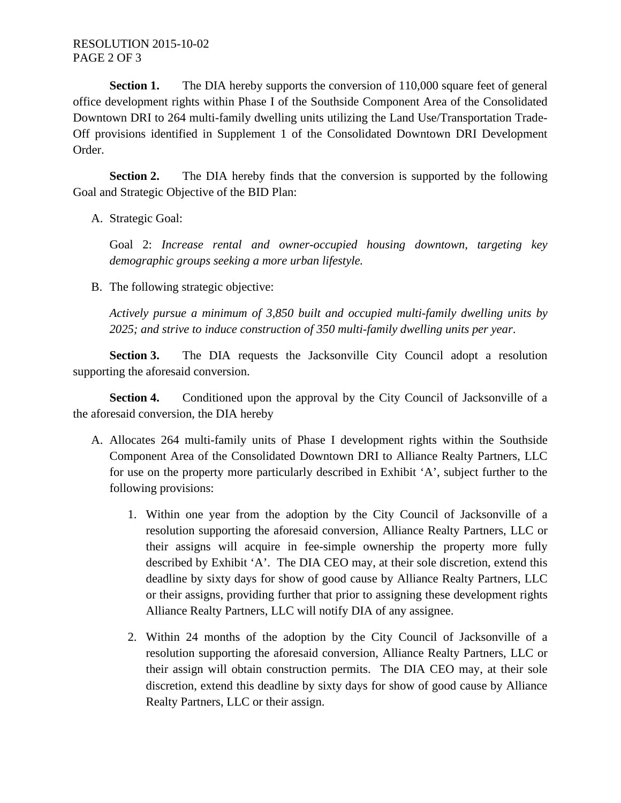**Section 1.** The DIA hereby supports the conversion of 110,000 square feet of general office development rights within Phase I of the Southside Component Area of the Consolidated Downtown DRI to 264 multi-family dwelling units utilizing the Land Use/Transportation Trade-Off provisions identified in Supplement 1 of the Consolidated Downtown DRI Development Order.

**Section 2.** The DIA hereby finds that the conversion is supported by the following Goal and Strategic Objective of the BID Plan:

A. Strategic Goal:

Goal 2: *Increase rental and owner-occupied housing downtown, targeting key demographic groups seeking a more urban lifestyle.*

B. The following strategic objective:

*Actively pursue a minimum of 3,850 built and occupied multi-family dwelling units by 2025; and strive to induce construction of 350 multi-family dwelling units per year*.

**Section 3.** The DIA requests the Jacksonville City Council adopt a resolution supporting the aforesaid conversion.

**Section 4.** Conditioned upon the approval by the City Council of Jacksonville of a the aforesaid conversion, the DIA hereby

- A. Allocates 264 multi-family units of Phase I development rights within the Southside Component Area of the Consolidated Downtown DRI to Alliance Realty Partners, LLC for use on the property more particularly described in Exhibit 'A', subject further to the following provisions:
	- 1. Within one year from the adoption by the City Council of Jacksonville of a resolution supporting the aforesaid conversion, Alliance Realty Partners, LLC or their assigns will acquire in fee-simple ownership the property more fully described by Exhibit 'A'. The DIA CEO may, at their sole discretion, extend this deadline by sixty days for show of good cause by Alliance Realty Partners, LLC or their assigns, providing further that prior to assigning these development rights Alliance Realty Partners, LLC will notify DIA of any assignee.
	- 2. Within 24 months of the adoption by the City Council of Jacksonville of a resolution supporting the aforesaid conversion, Alliance Realty Partners, LLC or their assign will obtain construction permits. The DIA CEO may, at their sole discretion, extend this deadline by sixty days for show of good cause by Alliance Realty Partners, LLC or their assign.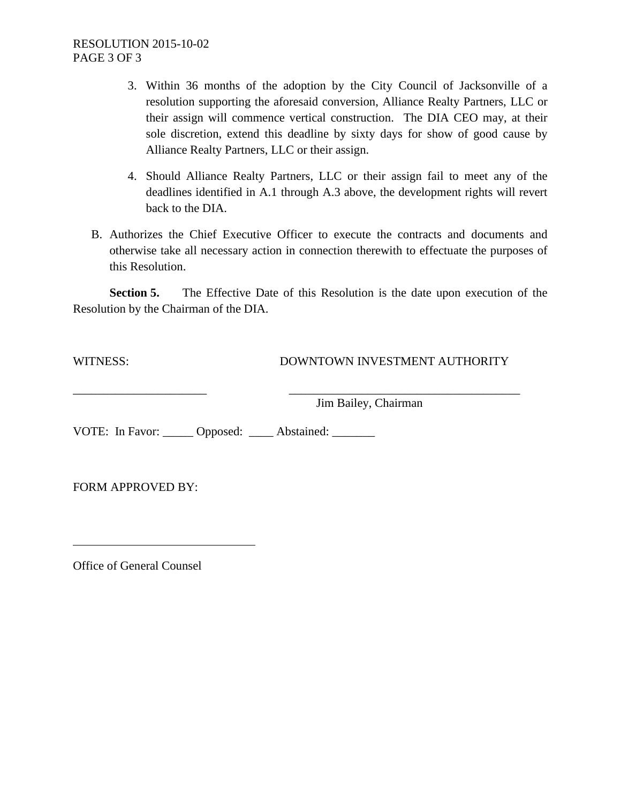- 3. Within 36 months of the adoption by the City Council of Jacksonville of a resolution supporting the aforesaid conversion, Alliance Realty Partners, LLC or their assign will commence vertical construction. The DIA CEO may, at their sole discretion, extend this deadline by sixty days for show of good cause by Alliance Realty Partners, LLC or their assign.
- 4. Should Alliance Realty Partners, LLC or their assign fail to meet any of the deadlines identified in A.1 through A.3 above, the development rights will revert back to the DIA.
- B. Authorizes the Chief Executive Officer to execute the contracts and documents and otherwise take all necessary action in connection therewith to effectuate the purposes of this Resolution.

**Section 5.** The Effective Date of this Resolution is the date upon execution of the Resolution by the Chairman of the DIA.

WITNESS: DOWNTOWN INVESTMENT AUTHORITY

\_\_\_\_\_\_\_\_\_\_\_\_\_\_\_\_\_\_\_\_\_\_ \_\_\_\_\_\_\_\_\_\_\_\_\_\_\_\_\_\_\_\_\_\_\_\_\_\_\_\_\_\_\_\_\_\_\_\_\_\_ Jim Bailey, Chairman

VOTE: In Favor: Opposed: Abstained:

FORM APPROVED BY:

Office of General Counsel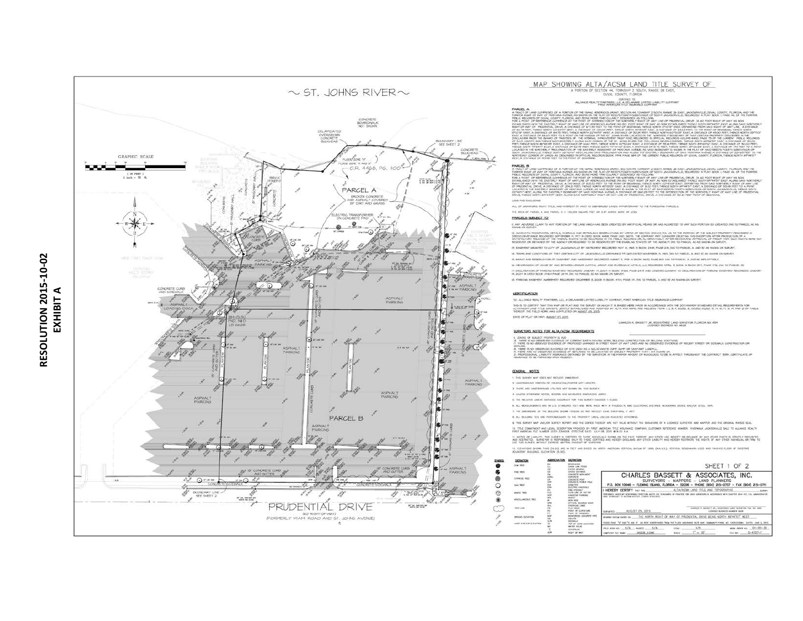

#### MAP SHOWING ALTA/ACSM LAND TITLE SURVEY OF

#### A PORTION OF SECTION 44, TOWNSHIP 2 SOUTH, RANGE 26 EAST,

#### EDITED TO ...<br>ALLIANCE REALTY FAIRTNESS, LCC, A DELANT FAIRLY COMPANY.

.<br>2014 RANSE 28 EAST, JACKSCHWILLE, DIVAL COUNTY, PLORIDA, AND THE<br>2014 JACKSONVILLE, RECORDED IN PLAT BOOK 1, PAGE 46, OF THE FORMER DRIVE ON BO POOT ROAD OF WAY AS NOW

Lens AND ENCLIDENT

ALL OF GRANTORS RIGHT. THEIR AND INTEREST OF ANY TO SUBMERCIEF LARDS APPARENTANT TO THE FORESCRIS PARCIES.

THE AREA OF PARCEL A AND PARCEL B = 150,959 SQUARE FEET OR 3.47 AGRES, MORE OR LESS.

#### PARCELS SUBJECT TO

IS ENSIMENT SIRARED TO GITY OF JACKSONVILLE BY INSTRUMENT RECORDED HAY IA, HAS IN BOOK 2448, PAGE 20, ON TO PARCEL, A AND BY AS SHOWN ON SORVEY. .<br>H. TERPS AND CONDITIONS OF THAT CERTAIN CITY OF JACKSONVILLE DREINANCE FR-365 EATED NOVEMBER IS, MAS AN OF PARCEL A AND B) AS SHOWN ON SARVEY.

HENORAKON OF LEASE BY AND BETHEEN VENDOR CAPITAL 6ROUP AND RIVERNALK HOTELS, LLC RECORDED APRIL 3, 2008 IN BOOK ISTS, FAGE 17% (AS TO PARCEL IS

.<br>T. DEGLARATON OF PARCING EASEMENT REGORDED JANDARY IT, 2007 IN BOOK (THAT, PAGE 2415 AND LENDERS GORDEN OF DISLARATION, PARCING EASEMENT REGORDED JANARY<br>IT, 2007 IN DEED BOOK (FINH PAGE 2471), (AS TO PARGEL 5) AS SHOWN O

IS PARCING EASEPENT AGREEPENT REGORDED DECEMBER 3, 2008 IN BODK HTH, PAGE IN DAS TO PARCEL A AND BEAS SHOW ON SIRVE

#### **GERTIFICATION**

 $-5.01164$ 

TO, ALLIANCE REALTY PARTNERS, LLC, A DELANNE LIATED LIABILITY CONPANY, PIRET ANERICAN TITLE INSURANCE CONTAIN

this is to certey that this far of flat and the surfire of histories were have in accordance with the 2011 histable star movements for<br>Altancem land title survey, Johly Estaduard and accords of Alta and heaving the compact

DATE OF PLAT OR HAP, AMMOT OT 2015

#### SURVEYORS NOTES FOR ALTA/ACSM REQUIREMENTS

#### 6, 2010). Of Subject Property is fud<br>16. There is no observed futuring of Gorrent Earth Hovnig Hors, Bulding Construction of Bulding Additions.<br>11. There is no observed everywall of Propiosed Changes in Street Rome of MAT

repares.<br>H. There are coderated evidence of site vied as a solid hagite dam, sam or sanitary laadill.<br>H. There are coderated evidence of hellands for be located on siburd proverty that i an al<br>J. Propersonal liability midr

#### GENERAL NOTES

1. THIS SURVEY WAP DOES NOT REFLECT DIMENSION.

3 UNDERGROUND PORTION OF FOUNDATION/FOOTER NOT LOCATED.

THERE ARE UNDERSTONE TO AN ARRESTMENT DAY THE TERM

4. UNLESS OTHERWISE NOTED, RECORD AND MEASURED DIMINISIONS AGREE. IL THE RELATIVE UNEAR DISTANCE ADDUNNEY FOR THIS SURVEY ENDEDGE 1-10,000.

E. ALL MEASURDENTS ARE IN LLS. STANDARD FEET AND WERE WAS AFTER A THEODOLITE AND ELECTRONIC DISTANCE MEASURING DEVICE AND/OR SITED, TAPE

7. THE DIMENSIONS OF THE BUILDING SHOWN HEREON DO NOT RETLEET EAKE OVERHANG, IF ANY.

A. ALL BULDING TIES ARE PERPONDICULAR TO THE PROPERTY LINES, UNLESS INDICATED OTHERWISE.

IL THE SORIEY WAR AND/OR SURVEY REPORT AND THE CORES THEREOF ARE NOT VALID WITHOUT THE SIGNATURE OF A LICENSED SURVEYOR AND WAPPER AND THE ORIGINAL RANSED SEAL.

TE TRE COMMINDIT AND LEGAL DESERVITION PROVISION OF FREE ANDREAM TRE REGULARSE COMPANY, CUSTOMER REFERENCE RANDER AVERSAVALE SALE TO ALLIANCE REGULTE

tt, notel of labuty. The survey s contred to those revoluls show on the face thered, any other version of any any other party structure providing.<br>And residently, surveyed in separable on the providing and herer discussed

12. OEVATONS SHOWN THUS (10.25) ARE W FELT AND BASED ON WORTH ANEROXN VERTICAL DATUM OF ADJACENT BUILDING, ELEVATON (6.50).

|                   | ADDREVATION |
|-------------------|-------------|
| <b>DEFINITION</b> |             |

| a nome<br>٠ | <b><i>COLORADORE</i></b><br>OW WHE | <b>CHARLES AND ARRAIGNMENT COMPANY</b> | <b><i>EXTREMENT</i></b><br><b>Dokes Lade Fifted</b>                                      | SHEET 1 OF 2                                                                                                                                                                           |  |  |
|-------------|------------------------------------|----------------------------------------|------------------------------------------------------------------------------------------|----------------------------------------------------------------------------------------------------------------------------------------------------------------------------------------|--|--|
| 痞           |                                    |                                        | <b>Harrison's carried sales</b><br><b>CONCIRETE</b><br>ONCRETE POST<br>tancers where was | CHARLES BASSETT & ASSOCIATES, INC.                                                                                                                                                     |  |  |
| ⊛           |                                    |                                        |                                                                                          | SURVEYORS - MAPPERS - LAND PLANNERS                                                                                                                                                    |  |  |
|             | <b>DAK THEY</b>                    |                                        | <b><i>ARTING HANDING</i></b>                                                             | P.O. BOX 10046 - FLEMING ISLAND, FLORIDA - 32006 - PHONE (904) 215-0707 - FAX (904) 215-0711                                                                                           |  |  |
| ⊛           | <b>MAPLE TREE</b>                  |                                        | <b>UNITED ANY</b><br><b>CANDIAN FARONE</b>                                               | HEREBY CERTIFY SHOWS<br>ALTA/ACSM LAND TITLE AND TOPOGRAPHIC<br>SUMM<br>ONE PURSUAL TO SEERIN ATESPS, FLOWER MADERIAL COLLECTION CONTINUES TO ANNOUNCE IN ENTIRE PRODUCTS IN A RESERVE |  |  |
|             | which annually rest                |                                        | OFFICIAL REDOKOS BOOK                                                                    |                                                                                                                                                                                        |  |  |
|             | TAKE LINE                          |                                        | <b><i>RLAT GODY</i></b>                                                                  | GAINZER R. BASSETT JR., REDUCESES LAND GUNNYION FLA. NO. 47601<br><b><i>LICENSED MUSICIDE MANIER WERE</i></b>                                                                          |  |  |
|             | DRAIG GEVATOR                      |                                        | FORCED CONCRETE INFO<br>SOUMAR"                                                          | MARINA PARA BARD IN THE NORTH RICHT OF WAY OF PRODUCED ALL DRIVE BEING NORTH REFACTS?" WEST                                                                                            |  |  |
|             | HARD SAFEKE GUVERN                 |                                        | <b>WATAVAS BAND TO N</b>                                                                 | FLOOD 2340 "12" AND "X AND 37" AR RIST ASOERFANKS FROM THE FLOOD WISHARDS BATE WAR. COMMUNITY FAMEL WG. FOOTCOLORING.                                                                  |  |  |
|             |                                    |                                        | <b>ACCUSE VINE MAIL</b>                                                                  | жик окол на 04-00-36<br>$1'' - 30'$<br>the age 16-4707-F<br>UNIVERSITY MARIE CATCOR RIDGE<br><b>SEALE</b>                                                                              |  |  |

# RESOLUTION 2015-10-02 **RESOLUTION 2015-10-02 EXHIBIT A**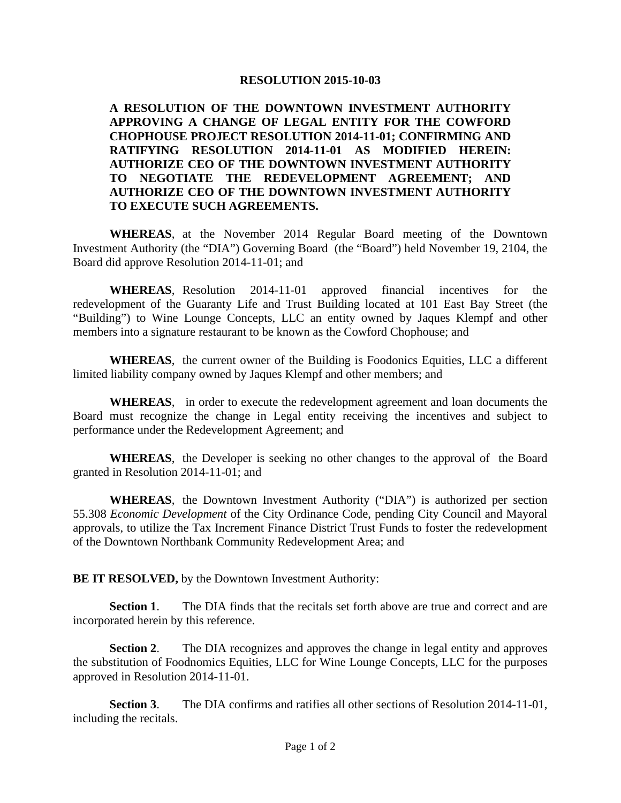**A RESOLUTION OF THE DOWNTOWN INVESTMENT AUTHORITY APPROVING A CHANGE OF LEGAL ENTITY FOR THE COWFORD CHOPHOUSE PROJECT RESOLUTION 2014-11-01; CONFIRMING AND RATIFYING RESOLUTION 2014-11-01 AS MODIFIED HEREIN: AUTHORIZE CEO OF THE DOWNTOWN INVESTMENT AUTHORITY TO NEGOTIATE THE REDEVELOPMENT AGREEMENT; AND AUTHORIZE CEO OF THE DOWNTOWN INVESTMENT AUTHORITY TO EXECUTE SUCH AGREEMENTS.** 

**WHEREAS**, at the November 2014 Regular Board meeting of the Downtown Investment Authority (the "DIA") Governing Board (the "Board") held November 19, 2104, the Board did approve Resolution 2014-11-01; and

**WHEREAS**, Resolution 2014-11-01 approved financial incentives for the redevelopment of the Guaranty Life and Trust Building located at 101 East Bay Street (the "Building") to Wine Lounge Concepts, LLC an entity owned by Jaques Klempf and other members into a signature restaurant to be known as the Cowford Chophouse; and

**WHEREAS**, the current owner of the Building is Foodonics Equities, LLC a different limited liability company owned by Jaques Klempf and other members; and

**WHEREAS**, in order to execute the redevelopment agreement and loan documents the Board must recognize the change in Legal entity receiving the incentives and subject to performance under the Redevelopment Agreement; and

**WHEREAS**, the Developer is seeking no other changes to the approval of the Board granted in Resolution 2014-11-01; and

**WHEREAS**, the Downtown Investment Authority ("DIA") is authorized per section 55.308 *Economic Development* of the City Ordinance Code, pending City Council and Mayoral approvals, to utilize the Tax Increment Finance District Trust Funds to foster the redevelopment of the Downtown Northbank Community Redevelopment Area; and

**BE IT RESOLVED,** by the Downtown Investment Authority:

**Section 1**. The DIA finds that the recitals set forth above are true and correct and are incorporated herein by this reference.

**Section 2**. The DIA recognizes and approves the change in legal entity and approves the substitution of Foodnomics Equities, LLC for Wine Lounge Concepts, LLC for the purposes approved in Resolution 2014-11-01.

**Section 3**. The DIA confirms and ratifies all other sections of Resolution 2014-11-01, including the recitals.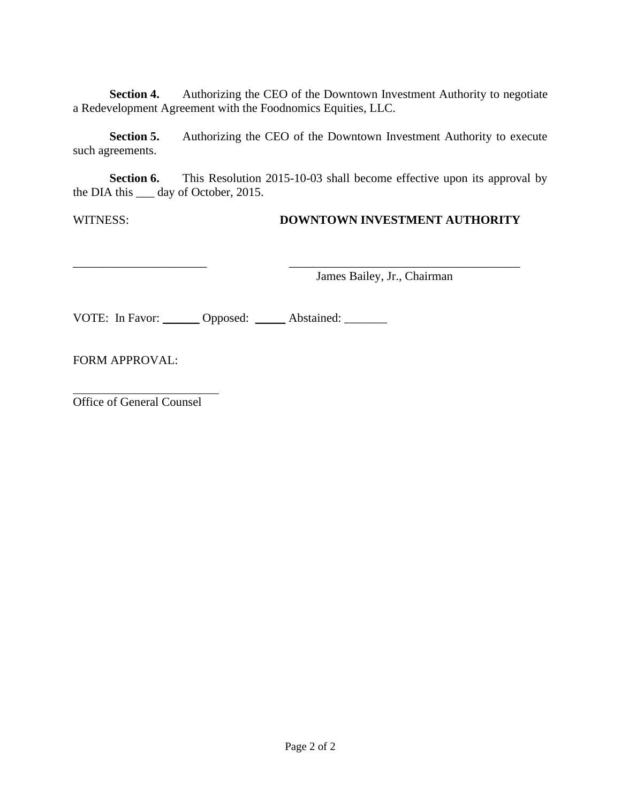**Section 4.** Authorizing the CEO of the Downtown Investment Authority to negotiate a Redevelopment Agreement with the Foodnomics Equities, LLC.

**Section 5.** Authorizing the CEO of the Downtown Investment Authority to execute such agreements.

**Section 6.** This Resolution 2015-10-03 shall become effective upon its approval by the DIA this \_\_\_ day of October, 2015.

# WITNESS: **DOWNTOWN INVESTMENT AUTHORITY**

\_\_\_\_\_\_\_\_\_\_\_\_\_\_\_\_\_\_\_\_\_\_ \_\_\_\_\_\_\_\_\_\_\_\_\_\_\_\_\_\_\_\_\_\_\_\_\_\_\_\_\_\_\_\_\_\_\_\_\_\_ James Bailey, Jr., Chairman

VOTE: In Favor: \_\_\_\_\_\_ Opposed: \_\_\_\_\_ Abstained: \_\_\_\_\_\_\_

FORM APPROVAL:

Office of General Counsel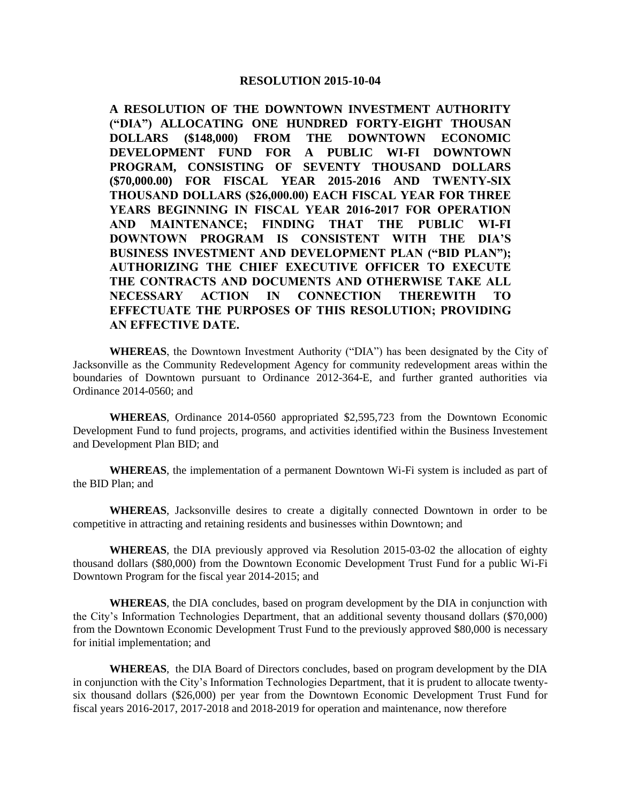**A RESOLUTION OF THE DOWNTOWN INVESTMENT AUTHORITY ("DIA") ALLOCATING ONE HUNDRED FORTY-EIGHT THOUSAN DOLLARS (\$148,000) FROM THE DOWNTOWN ECONOMIC DEVELOPMENT FUND FOR A PUBLIC WI-FI DOWNTOWN PROGRAM, CONSISTING OF SEVENTY THOUSAND DOLLARS (\$70,000.00) FOR FISCAL YEAR 2015-2016 AND TWENTY-SIX THOUSAND DOLLARS (\$26,000.00) EACH FISCAL YEAR FOR THREE YEARS BEGINNING IN FISCAL YEAR 2016-2017 FOR OPERATION AND MAINTENANCE; FINDING THAT THE PUBLIC WI-FI DOWNTOWN PROGRAM IS CONSISTENT WITH THE DIA'S BUSINESS INVESTMENT AND DEVELOPMENT PLAN ("BID PLAN"); AUTHORIZING THE CHIEF EXECUTIVE OFFICER TO EXECUTE THE CONTRACTS AND DOCUMENTS AND OTHERWISE TAKE ALL NECESSARY ACTION IN CONNECTION THEREWITH TO EFFECTUATE THE PURPOSES OF THIS RESOLUTION; PROVIDING AN EFFECTIVE DATE.**

**WHEREAS**, the Downtown Investment Authority ("DIA") has been designated by the City of Jacksonville as the Community Redevelopment Agency for community redevelopment areas within the boundaries of Downtown pursuant to Ordinance 2012-364-E, and further granted authorities via Ordinance 2014-0560; and

**WHEREAS**, Ordinance 2014-0560 appropriated \$2,595,723 from the Downtown Economic Development Fund to fund projects, programs, and activities identified within the Business Investement and Development Plan BID; and

**WHEREAS**, the implementation of a permanent Downtown Wi-Fi system is included as part of the BID Plan; and

**WHEREAS**, Jacksonville desires to create a digitally connected Downtown in order to be competitive in attracting and retaining residents and businesses within Downtown; and

**WHEREAS**, the DIA previously approved via Resolution 2015-03-02 the allocation of eighty thousand dollars (\$80,000) from the Downtown Economic Development Trust Fund for a public Wi-Fi Downtown Program for the fiscal year 2014-2015; and

**WHEREAS**, the DIA concludes, based on program development by the DIA in conjunction with the City's Information Technologies Department, that an additional seventy thousand dollars (\$70,000) from the Downtown Economic Development Trust Fund to the previously approved \$80,000 is necessary for initial implementation; and

**WHEREAS**, the DIA Board of Directors concludes, based on program development by the DIA in conjunction with the City's Information Technologies Department, that it is prudent to allocate twentysix thousand dollars (\$26,000) per year from the Downtown Economic Development Trust Fund for fiscal years 2016-2017, 2017-2018 and 2018-2019 for operation and maintenance, now therefore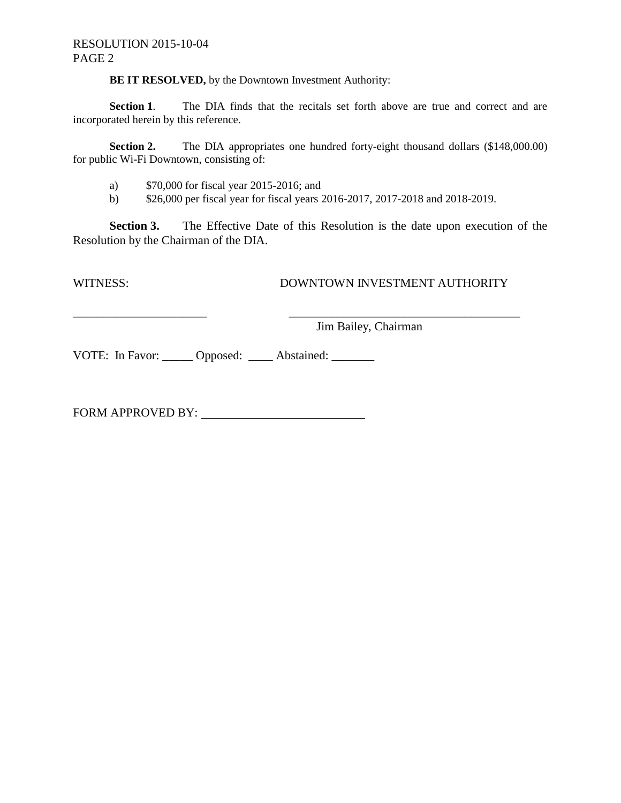#### RESOLUTION 2015-10-04 PAGE 2

**BE IT RESOLVED,** by the Downtown Investment Authority:

Section 1. The DIA finds that the recitals set forth above are true and correct and are incorporated herein by this reference.

**Section 2.** The DIA appropriates one hundred forty-eight thousand dollars (\$148,000.00) for public Wi-Fi Downtown, consisting of:

a) \$70,000 for fiscal year 2015-2016; and

b) \$26,000 per fiscal year for fiscal years 2016-2017, 2017-2018 and 2018-2019.

\_\_\_\_\_\_\_\_\_\_\_\_\_\_\_\_\_\_\_\_\_\_ \_\_\_\_\_\_\_\_\_\_\_\_\_\_\_\_\_\_\_\_\_\_\_\_\_\_\_\_\_\_\_\_\_\_\_\_\_\_

**Section 3.** The Effective Date of this Resolution is the date upon execution of the Resolution by the Chairman of the DIA.

#### WITNESS: DOWNTOWN INVESTMENT AUTHORITY

Jim Bailey, Chairman

VOTE: In Favor: Opposed: \_\_\_\_\_ Abstained: \_\_\_\_\_\_

FORM APPROVED BY: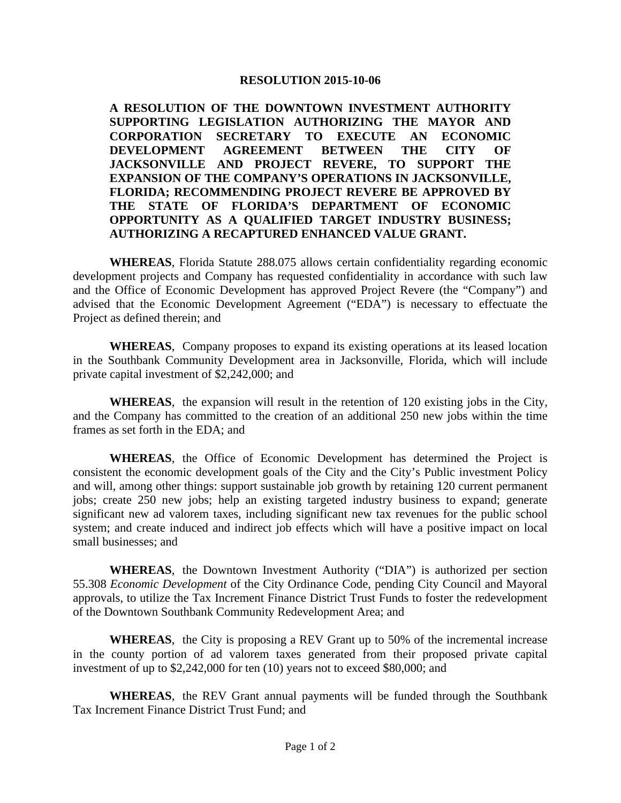**A RESOLUTION OF THE DOWNTOWN INVESTMENT AUTHORITY SUPPORTING LEGISLATION AUTHORIZING THE MAYOR AND CORPORATION SECRETARY TO EXECUTE AN ECONOMIC DEVELOPMENT AGREEMENT BETWEEN THE CITY OF JACKSONVILLE AND PROJECT REVERE, TO SUPPORT THE EXPANSION OF THE COMPANY'S OPERATIONS IN JACKSONVILLE, FLORIDA; RECOMMENDING PROJECT REVERE BE APPROVED BY THE STATE OF FLORIDA'S DEPARTMENT OF ECONOMIC OPPORTUNITY AS A QUALIFIED TARGET INDUSTRY BUSINESS; AUTHORIZING A RECAPTURED ENHANCED VALUE GRANT.**

**WHEREAS**, Florida Statute 288.075 allows certain confidentiality regarding economic development projects and Company has requested confidentiality in accordance with such law and the Office of Economic Development has approved Project Revere (the "Company") and advised that the Economic Development Agreement ("EDA") is necessary to effectuate the Project as defined therein; and

**WHEREAS**, Company proposes to expand its existing operations at its leased location in the Southbank Community Development area in Jacksonville, Florida, which will include private capital investment of \$2,242,000; and

**WHEREAS**, the expansion will result in the retention of 120 existing jobs in the City, and the Company has committed to the creation of an additional 250 new jobs within the time frames as set forth in the EDA; and

**WHEREAS**, the Office of Economic Development has determined the Project is consistent the economic development goals of the City and the City's Public investment Policy and will, among other things: support sustainable job growth by retaining 120 current permanent jobs; create 250 new jobs; help an existing targeted industry business to expand; generate significant new ad valorem taxes, including significant new tax revenues for the public school system; and create induced and indirect job effects which will have a positive impact on local small businesses; and

**WHEREAS**, the Downtown Investment Authority ("DIA") is authorized per section 55.308 *Economic Development* of the City Ordinance Code, pending City Council and Mayoral approvals, to utilize the Tax Increment Finance District Trust Funds to foster the redevelopment of the Downtown Southbank Community Redevelopment Area; and

**WHEREAS**, the City is proposing a REV Grant up to 50% of the incremental increase in the county portion of ad valorem taxes generated from their proposed private capital investment of up to \$2,242,000 for ten (10) years not to exceed \$80,000; and

**WHEREAS**, the REV Grant annual payments will be funded through the Southbank Tax Increment Finance District Trust Fund; and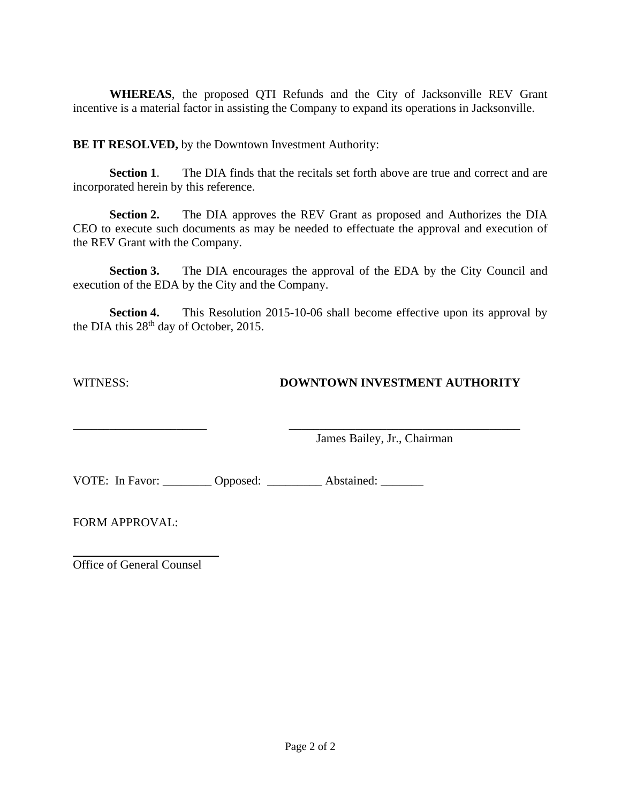**WHEREAS**, the proposed QTI Refunds and the City of Jacksonville REV Grant incentive is a material factor in assisting the Company to expand its operations in Jacksonville.

**BE IT RESOLVED,** by the Downtown Investment Authority:

**Section 1.** The DIA finds that the recitals set forth above are true and correct and are incorporated herein by this reference.

**Section 2.** The DIA approves the REV Grant as proposed and Authorizes the DIA CEO to execute such documents as may be needed to effectuate the approval and execution of the REV Grant with the Company.

**Section 3.** The DIA encourages the approval of the EDA by the City Council and execution of the EDA by the City and the Company.

**Section 4.** This Resolution 2015-10-06 shall become effective upon its approval by the DIA this 28<sup>th</sup> day of October, 2015.

# WITNESS: **DOWNTOWN INVESTMENT AUTHORITY**

\_\_\_\_\_\_\_\_\_\_\_\_\_\_\_\_\_\_\_\_\_\_ \_\_\_\_\_\_\_\_\_\_\_\_\_\_\_\_\_\_\_\_\_\_\_\_\_\_\_\_\_\_\_\_\_\_\_\_\_\_ James Bailey, Jr., Chairman

VOTE: In Favor: Copposed: Abstained:

FORM APPROVAL:

Office of General Counsel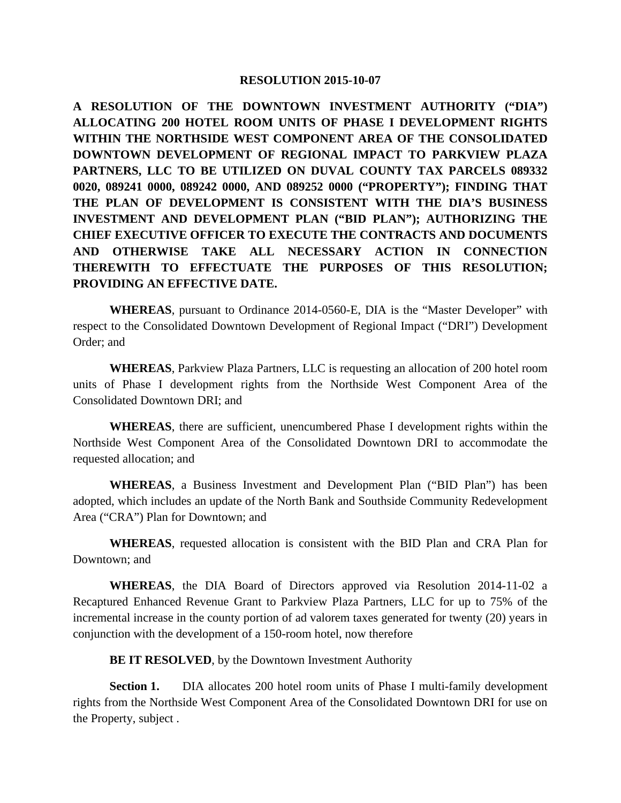**A RESOLUTION OF THE DOWNTOWN INVESTMENT AUTHORITY ("DIA") ALLOCATING 200 HOTEL ROOM UNITS OF PHASE I DEVELOPMENT RIGHTS WITHIN THE NORTHSIDE WEST COMPONENT AREA OF THE CONSOLIDATED DOWNTOWN DEVELOPMENT OF REGIONAL IMPACT TO PARKVIEW PLAZA PARTNERS, LLC TO BE UTILIZED ON DUVAL COUNTY TAX PARCELS 089332 0020, 089241 0000, 089242 0000, AND 089252 0000 ("PROPERTY"); FINDING THAT THE PLAN OF DEVELOPMENT IS CONSISTENT WITH THE DIA'S BUSINESS INVESTMENT AND DEVELOPMENT PLAN ("BID PLAN"); AUTHORIZING THE CHIEF EXECUTIVE OFFICER TO EXECUTE THE CONTRACTS AND DOCUMENTS AND OTHERWISE TAKE ALL NECESSARY ACTION IN CONNECTION THEREWITH TO EFFECTUATE THE PURPOSES OF THIS RESOLUTION; PROVIDING AN EFFECTIVE DATE.**

**WHEREAS**, pursuant to Ordinance 2014-0560-E, DIA is the "Master Developer" with respect to the Consolidated Downtown Development of Regional Impact ("DRI") Development Order; and

**WHEREAS**, Parkview Plaza Partners, LLC is requesting an allocation of 200 hotel room units of Phase I development rights from the Northside West Component Area of the Consolidated Downtown DRI; and

**WHEREAS**, there are sufficient, unencumbered Phase I development rights within the Northside West Component Area of the Consolidated Downtown DRI to accommodate the requested allocation; and

**WHEREAS**, a Business Investment and Development Plan ("BID Plan") has been adopted, which includes an update of the North Bank and Southside Community Redevelopment Area ("CRA") Plan for Downtown; and

**WHEREAS**, requested allocation is consistent with the BID Plan and CRA Plan for Downtown; and

**WHEREAS**, the DIA Board of Directors approved via Resolution 2014-11-02 a Recaptured Enhanced Revenue Grant to Parkview Plaza Partners, LLC for up to 75% of the incremental increase in the county portion of ad valorem taxes generated for twenty (20) years in conjunction with the development of a 150-room hotel, now therefore

**BE IT RESOLVED**, by the Downtown Investment Authority

**Section 1.** DIA allocates 200 hotel room units of Phase I multi-family development rights from the Northside West Component Area of the Consolidated Downtown DRI for use on the Property, subject .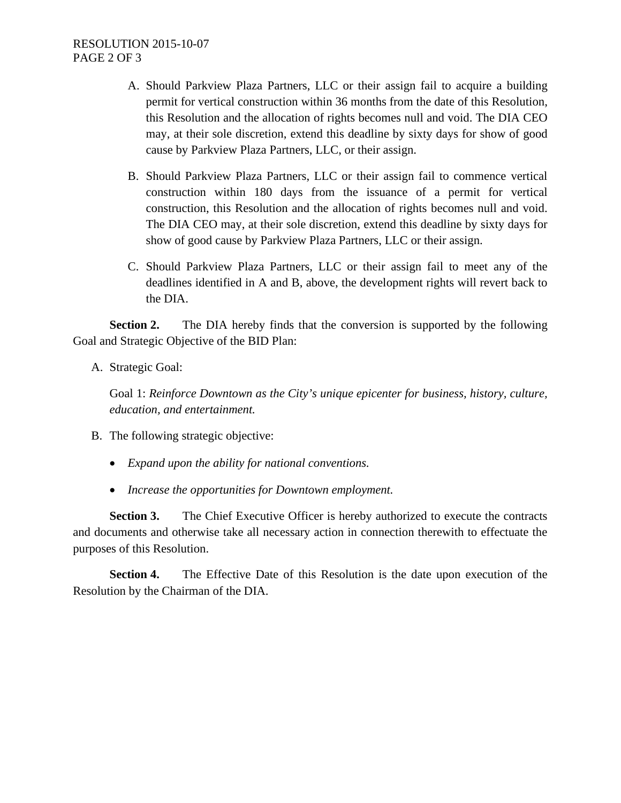- A. Should Parkview Plaza Partners, LLC or their assign fail to acquire a building permit for vertical construction within 36 months from the date of this Resolution, this Resolution and the allocation of rights becomes null and void. The DIA CEO may, at their sole discretion, extend this deadline by sixty days for show of good cause by Parkview Plaza Partners, LLC, or their assign.
- B. Should Parkview Plaza Partners, LLC or their assign fail to commence vertical construction within 180 days from the issuance of a permit for vertical construction, this Resolution and the allocation of rights becomes null and void. The DIA CEO may, at their sole discretion, extend this deadline by sixty days for show of good cause by Parkview Plaza Partners, LLC or their assign.
- C. Should Parkview Plaza Partners, LLC or their assign fail to meet any of the deadlines identified in A and B, above, the development rights will revert back to the DIA.

**Section 2.** The DIA hereby finds that the conversion is supported by the following Goal and Strategic Objective of the BID Plan:

A. Strategic Goal:

Goal 1: *Reinforce Downtown as the City's unique epicenter for business, history, culture, education, and entertainment.*

- B. The following strategic objective:
	- *Expand upon the ability for national conventions.*
	- *Increase the opportunities for Downtown employment.*

**Section 3.** The Chief Executive Officer is hereby authorized to execute the contracts and documents and otherwise take all necessary action in connection therewith to effectuate the purposes of this Resolution.

**Section 4.** The Effective Date of this Resolution is the date upon execution of the Resolution by the Chairman of the DIA.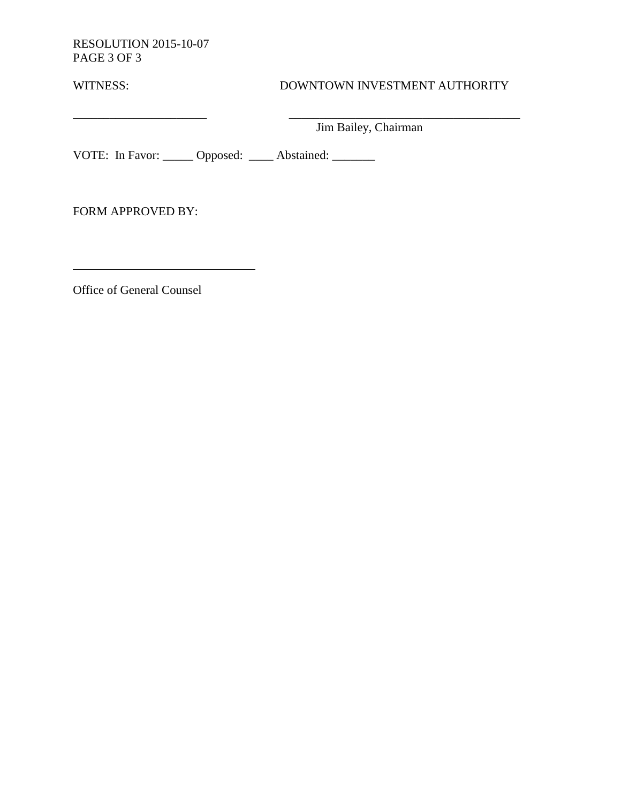RESOLUTION 2015-10-07 PAGE 3 OF 3

# WITNESS: DOWNTOWN INVESTMENT AUTHORITY

Jim Bailey, Chairman

 $\overline{\phantom{a}}$  , and the contribution of the contribution of  $\overline{\phantom{a}}$  , and the contribution of  $\overline{\phantom{a}}$ 

VOTE: In Favor: \_\_\_\_\_ Opposed: \_\_\_\_ Abstained: \_\_\_\_\_\_

FORM APPROVED BY:

Office of General Counsel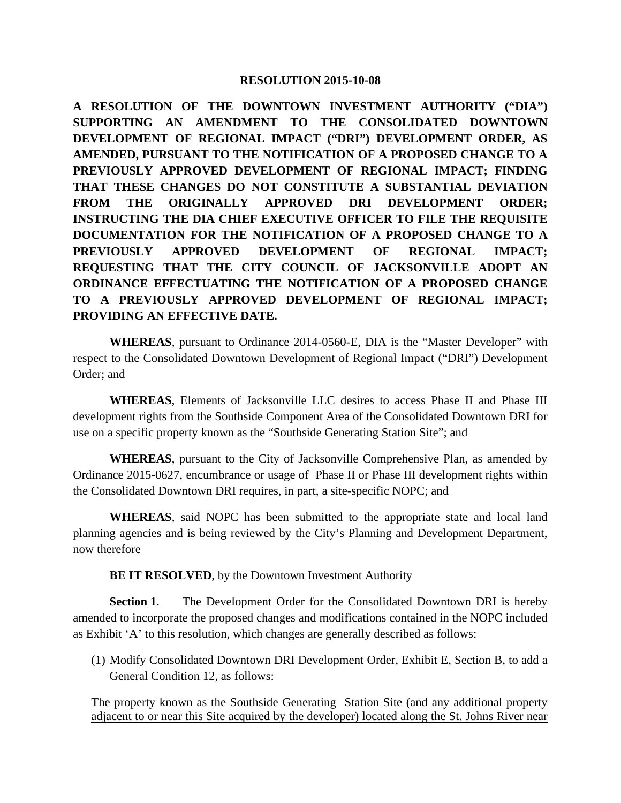**A RESOLUTION OF THE DOWNTOWN INVESTMENT AUTHORITY ("DIA") SUPPORTING AN AMENDMENT TO THE CONSOLIDATED DOWNTOWN DEVELOPMENT OF REGIONAL IMPACT ("DRI") DEVELOPMENT ORDER, AS AMENDED, PURSUANT TO THE NOTIFICATION OF A PROPOSED CHANGE TO A PREVIOUSLY APPROVED DEVELOPMENT OF REGIONAL IMPACT; FINDING THAT THESE CHANGES DO NOT CONSTITUTE A SUBSTANTIAL DEVIATION FROM THE ORIGINALLY APPROVED DRI DEVELOPMENT ORDER; INSTRUCTING THE DIA CHIEF EXECUTIVE OFFICER TO FILE THE REQUISITE DOCUMENTATION FOR THE NOTIFICATION OF A PROPOSED CHANGE TO A PREVIOUSLY APPROVED DEVELOPMENT OF REGIONAL IMPACT; REQUESTING THAT THE CITY COUNCIL OF JACKSONVILLE ADOPT AN ORDINANCE EFFECTUATING THE NOTIFICATION OF A PROPOSED CHANGE TO A PREVIOUSLY APPROVED DEVELOPMENT OF REGIONAL IMPACT; PROVIDING AN EFFECTIVE DATE.**

**WHEREAS**, pursuant to Ordinance 2014-0560-E, DIA is the "Master Developer" with respect to the Consolidated Downtown Development of Regional Impact ("DRI") Development Order; and

**WHEREAS**, Elements of Jacksonville LLC desires to access Phase II and Phase III development rights from the Southside Component Area of the Consolidated Downtown DRI for use on a specific property known as the "Southside Generating Station Site"; and

**WHEREAS**, pursuant to the City of Jacksonville Comprehensive Plan, as amended by Ordinance 2015-0627, encumbrance or usage of Phase II or Phase III development rights within the Consolidated Downtown DRI requires, in part, a site-specific NOPC; and

**WHEREAS**, said NOPC has been submitted to the appropriate state and local land planning agencies and is being reviewed by the City's Planning and Development Department, now therefore

**BE IT RESOLVED**, by the Downtown Investment Authority

**Section 1**. The Development Order for the Consolidated Downtown DRI is hereby amended to incorporate the proposed changes and modifications contained in the NOPC included as Exhibit 'A' to this resolution, which changes are generally described as follows:

(1) Modify Consolidated Downtown DRI Development Order, Exhibit E, Section B, to add a General Condition 12, as follows:

The property known as the Southside Generating Station Site (and any additional property adjacent to or near this Site acquired by the developer) located along the St. Johns River near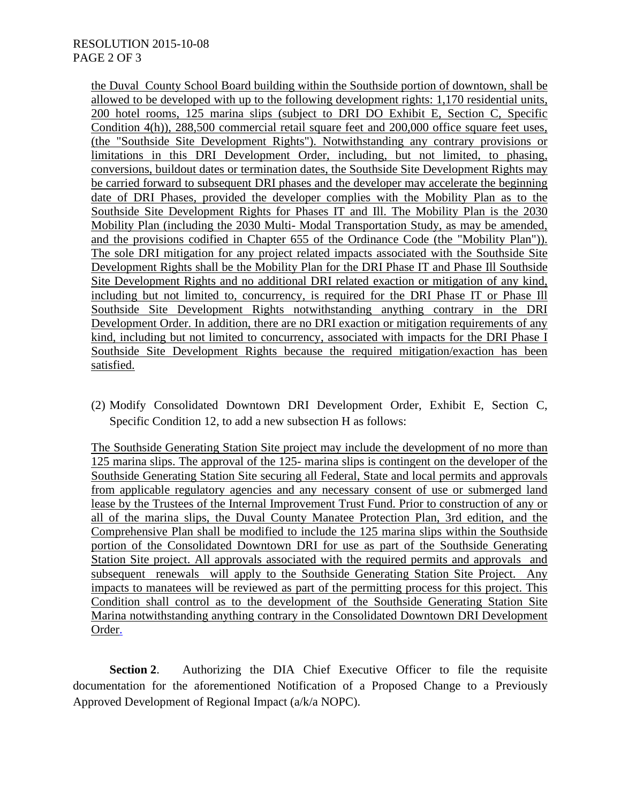#### RESOLUTION 2015-10-08 PAGE 2 OF 3

the Duval County School Board building within the Southside portion of downtown, shall be allowed to be developed with up to the following development rights: 1,170 residential units, 200 hotel rooms, 125 marina slips (subject to DRI DO Exhibit E, Section C, Specific Condition 4(h)), 288,500 commercial retail square feet and 200,000 office square feet uses, (the "Southside Site Development Rights"). Notwithstanding any contrary provisions or limitations in this DRI Development Order, including, but not limited, to phasing, conversions, buildout dates or termination dates, the Southside Site Development Rights may be carried forward to subsequent DRI phases and the developer may accelerate the beginning date of DRI Phases, provided the developer complies with the Mobility Plan as to the Southside Site Development Rights for Phases IT and Ill. The Mobility Plan is the 2030 Mobility Plan (including the 2030 Multi- Modal Transportation Study, as may be amended, and the provisions codified in Chapter 655 of the Ordinance Code (the "Mobility Plan")). The sole DRI mitigation for any project related impacts associated with the Southside Site Development Rights shall be the Mobility Plan for the DRI Phase IT and Phase Ill Southside Site Development Rights and no additional DRI related exaction or mitigation of any kind, including but not limited to, concurrency, is required for the DRI Phase IT or Phase Ill Southside Site Development Rights notwithstanding anything contrary in the DRI Development Order. In addition, there are no DRI exaction or mitigation requirements of any kind, including but not limited to concurrency, associated with impacts for the DRI Phase I Southside Site Development Rights because the required mitigation/exaction has been satisfied.

(2) Modify Consolidated Downtown DRI Development Order, Exhibit E, Section C, Specific Condition 12, to add a new subsection H as follows:

The Southside Generating Station Site project may include the development of no more than 125 marina slips. The approval of the 125- marina slips is contingent on the developer of the Southside Generating Station Site securing all Federal, State and local permits and approvals from applicable regulatory agencies and any necessary consent of use or submerged land lease by the Trustees of the Internal Improvement Trust Fund. Prior to construction of any or all of the marina slips, the Duval County Manatee Protection Plan, 3rd edition, and the Comprehensive Plan shall be modified to include the 125 marina slips within the Southside portion of the Consolidated Downtown DRI for use as part of the Southside Generating Station Site project. All approvals associated with the required permits and approvals and subsequent renewals will apply to the Southside Generating Station Site Project. Any impacts to manatees will be reviewed as part of the permitting process for this project. This Condition shall control as to the development of the Southside Generating Station Site Marina notwithstanding anything contrary in the Consolidated Downtown DRI Development Order.

**Section 2**. Authorizing the DIA Chief Executive Officer to file the requisite documentation for the aforementioned Notification of a Proposed Change to a Previously Approved Development of Regional Impact (a/k/a NOPC).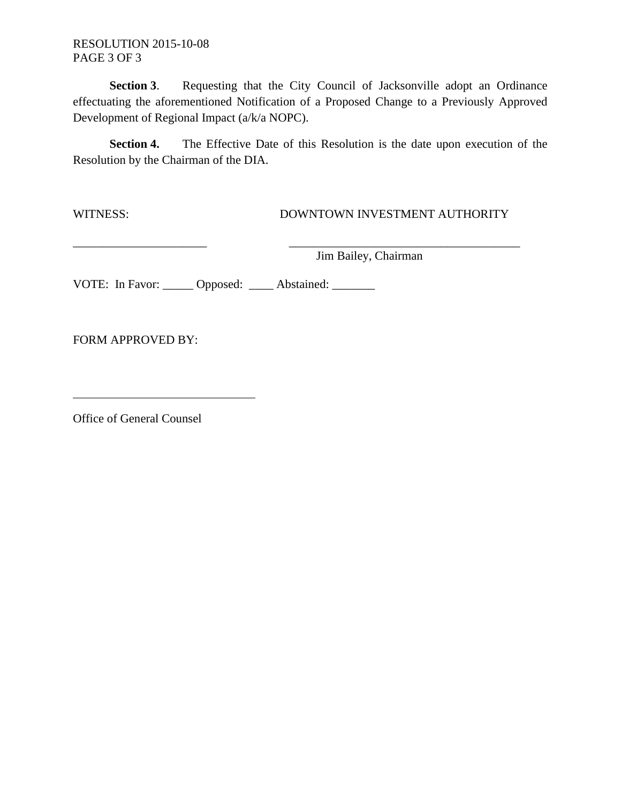RESOLUTION 2015-10-08 PAGE 3 OF 3

**Section 3**. Requesting that the City Council of Jacksonville adopt an Ordinance effectuating the aforementioned Notification of a Proposed Change to a Previously Approved Development of Regional Impact (a/k/a NOPC).

**Section 4.** The Effective Date of this Resolution is the date upon execution of the Resolution by the Chairman of the DIA.

\_\_\_\_\_\_\_\_\_\_\_\_\_\_\_\_\_\_\_\_\_\_ \_\_\_\_\_\_\_\_\_\_\_\_\_\_\_\_\_\_\_\_\_\_\_\_\_\_\_\_\_\_\_\_\_\_\_\_\_\_

#### WITNESS: DOWNTOWN INVESTMENT AUTHORITY

Jim Bailey, Chairman

VOTE: In Favor: \_\_\_\_\_ Opposed: \_\_\_\_ Abstained: \_\_\_\_\_\_

FORM APPROVED BY:

Office of General Counsel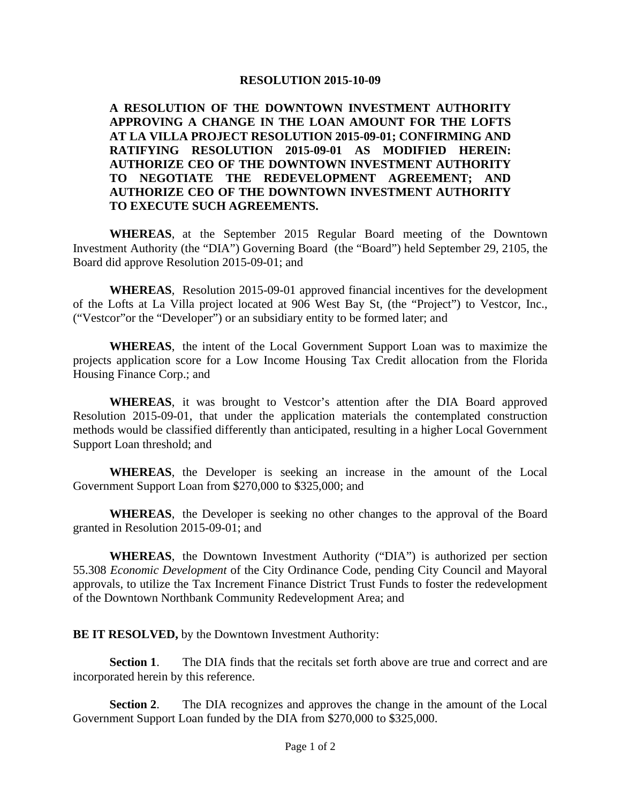**A RESOLUTION OF THE DOWNTOWN INVESTMENT AUTHORITY APPROVING A CHANGE IN THE LOAN AMOUNT FOR THE LOFTS AT LA VILLA PROJECT RESOLUTION 2015-09-01; CONFIRMING AND RATIFYING RESOLUTION 2015-09-01 AS MODIFIED HEREIN: AUTHORIZE CEO OF THE DOWNTOWN INVESTMENT AUTHORITY TO NEGOTIATE THE REDEVELOPMENT AGREEMENT; AND AUTHORIZE CEO OF THE DOWNTOWN INVESTMENT AUTHORITY TO EXECUTE SUCH AGREEMENTS.** 

**WHEREAS**, at the September 2015 Regular Board meeting of the Downtown Investment Authority (the "DIA") Governing Board (the "Board") held September 29, 2105, the Board did approve Resolution 2015-09-01; and

**WHEREAS**, Resolution 2015-09-01 approved financial incentives for the development of the Lofts at La Villa project located at 906 West Bay St, (the "Project") to Vestcor, Inc., ("Vestcor"or the "Developer") or an subsidiary entity to be formed later; and

**WHEREAS**, the intent of the Local Government Support Loan was to maximize the projects application score for a Low Income Housing Tax Credit allocation from the Florida Housing Finance Corp.; and

**WHEREAS**, it was brought to Vestcor's attention after the DIA Board approved Resolution 2015-09-01, that under the application materials the contemplated construction methods would be classified differently than anticipated, resulting in a higher Local Government Support Loan threshold; and

**WHEREAS**, the Developer is seeking an increase in the amount of the Local Government Support Loan from \$270,000 to \$325,000; and

**WHEREAS**, the Developer is seeking no other changes to the approval of the Board granted in Resolution 2015-09-01; and

**WHEREAS**, the Downtown Investment Authority ("DIA") is authorized per section 55.308 *Economic Development* of the City Ordinance Code, pending City Council and Mayoral approvals, to utilize the Tax Increment Finance District Trust Funds to foster the redevelopment of the Downtown Northbank Community Redevelopment Area; and

**BE IT RESOLVED,** by the Downtown Investment Authority:

**Section 1**. The DIA finds that the recitals set forth above are true and correct and are incorporated herein by this reference.

**Section 2**. The DIA recognizes and approves the change in the amount of the Local Government Support Loan funded by the DIA from \$270,000 to \$325,000.